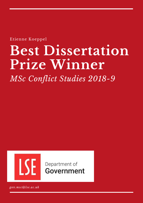Etienne Koeppel

# **Best Dissertation Prize Winner**

*MSc Conflict Studies 2018-9*



Department of Government

*gov.msc@lse.ac.uk*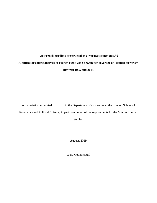# **Are French Muslims constructed as a "suspect community"? A critical discourse analysis of French right-wing newspaper coverage of Islamist terrorism between 1995 and 2015**

A dissertation submitted to the Department of Government, the London School of Economics and Political Science, in part completion of the requirements for the MSc in Conflict Studies.

August, 2019

Word Count: 9,650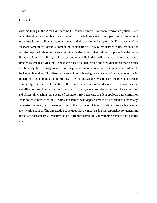# **Abstract**

Muslims living in the West have become the center of interest for counterterrorism policies. Yet, rather than directing their fear toward terrorism, North American and European publics have come to distrust Islam itself as a potential threat to their security and way of life. The concept of the "suspect community" offers a compelling explanation as to why ordinary Muslims are made to bear the responsibility of terrorism committed in the name of their religion. It posits that the public discourses found in politics, civil society, and especially in the media prompt people to fabricate a threatening image of Muslims – one that is based on imagination and prejudice rather than on facts or rationality. Interestingly, research on suspect community creation has largely been confined to the United Kingdom. This dissertation examines right-wing newspapers in France, a country with the largest Muslim population in Europe, to determine whether Muslims are assigned to a suspect community, and how. It identifies three mutually reinforcing discourses: homogenization, enemification, and internalization. Homogenizing language erases the variations inherent to Islam and places all Muslims on a scale of suspicion, from terrorist to silent apologist. Enemification refers to the construction of Muslims as enemies who oppose French values such as democracy, secularism, equality, and progress. In turn, the discourse of internalization presents Islam as an ever-nearing danger. The dissertation concludes that the media is in part responsible for generating discourses that construct Muslims as an extremist community threatening society and security alike.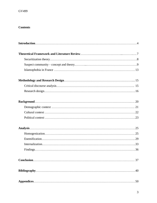# **Contents**

| 37 |
|----|
| 40 |
|    |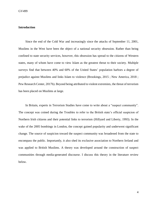# <span id="page-4-0"></span>**Introduction**

Since the end of the Cold War and increasingly since the attacks of September 11, 2001, Muslims in the West have been the object of a national security obsession. Rather than being confined to state security services, however, this obsession has spread to the citizens of Western states, many of whom have come to view Islam as the greatest threat to their society. Multiple surveys find that between 40% and 60% of the United States' population harbors a degree of prejudice against Muslims and links Islam to violence (Brookings, 2015 ; New America, 2018 ; Pew Research Center, 2017b). Beyond being attributed to violent extremists, the threat of terrorism has been placed on Muslims at large.

In Britain, experts in Terrorism Studies have come to write about a "suspect community". The concept was coined during the Troubles to refer to the British state's official suspicion of Northern Irish citizens and their potential links to terrorism (Hillyard and Liberty, 1993). In the wake of the 2005 bombings in London, the concept gained popularity and underwent significant change. The source of suspicion toward the suspect community was broadened from the state to encompass the public. Importantly, it also shed its exclusive association to Northern Ireland and was applied to British Muslims. A theory was developed around the construction of suspect communities through media-generated discourse. I discuss this theory in the literature review below.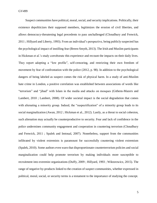Suspect communities have political, moral, social, and security implications. Politically, their existence depoliticizes their supposed members, legitimizes the erosion of civil liberties, and allows democracy-threatening legal precedents to pass unchallenged (Choudhury and Fenwick, 2011 ; Hillyard and Liberty, 1993). From an individual's perspective, being publicly suspected has the psychological impact of instilling fear (Breen-Smyth, 2013). The Irish and Muslim participants in Hickman et al.'s study corroborate this experience and recount the impacts on their daily lives. They report adopting a "low profile", self-censoring, and restricting their own freedom of movement by fear of confrontation with the police (2012, p. 98). In addition to the psychological dangers of being labeled as suspect comes the risk of physical harm. In a study of anti-Muslim hate crime in London, a positive correlation was established between associations of words like "terrorism" and "jihad" with Islam in the media and attacks on mosques (Githens-Mazers and Lambert, 2010 ; Lambert, 2008). Of wider societal impact is the social degradation that comes with alienating a minority group. Indeed, the "suspectification" of a minority group leads to its social marginalization (Awan, 2012 ; Hickman et al., 2012). Lastly, as a threat to social cohesion, such alienation may actually be counterproductive to security. Fear and lack of confidence in the police undermines community engagement and cooperation in countering terrorism (Choudhury and Fenwick, 2011 ; Spalek and Imtoual, 2007). Nonetheless, support from the communities infiltrated by violent extremists is paramount for successfully countering violent extremism (Spalek, 2010). Some authors even warn that disproportionate counterterrorism policies and social marginalization could help promote terrorism by making individuals more susceptible to recruitment into extremist organizations (Duffy, 2009 ; Hillyard, 1993 ; Wiktorowicz, 2015). The range of negative by-products linked to the creation of suspect communities, whether expressed in political, moral, social, or security terms is a testament to the importance of studying the concept.

5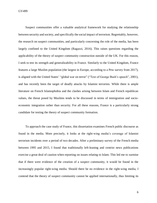GV499

Suspect communities offer a valuable analytical framework for studying the relationship between security and society, and specifically the social impact of terrorism. Regrettably, however, the research on suspect communities, and particularly concerning the role of the media, has been largely confined to the United Kingdom (Ragazzi, 2016). This raises questions regarding the applicability of the theory of suspect community construction outside of the UK. For this reason, I seek to test its strength and generalizability in France. Similarly to the United Kingdom, France features a large Muslim population (the largest in Europe, according to a Pew survey from 2017), is aligned with the United States' "global war on terror" ("Text of George Bush's speech", 2001), and has recently been the target of deadly attacks by Islamist terrorists. While there is ample literature on French Islamophobia and the clashes arising between Islam and French republican values, the threat posed by Muslims tends to be discussed in terms of immigration and socioeconomic integration rather than security. For all these reasons, France is a particularly strong candidate for testing the theory of suspect community formation.

To approach the case study of France, this dissertation examines French public discourse as found in the media. More precisely, it looks at the right-wing media's coverage of Islamist terrorism incidents over a period of two decades. After a preliminary survey of the French media between 1995 and 2015, I found that traditionally left-leaning and centrist news publications exercise a great deal of caution when reporting on issues relating to Islam. This led me to surmise that if there were evidence of the creation of a suspect community, it would be found in the increasingly popular right-wing media. Should there be no evidence in the right-wing media, I contend that the theory of suspect community cannot be applied internationally, thus limiting its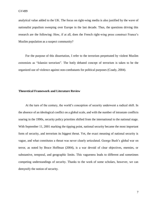analytical value added to the UK. The focus on right-wing media is also justified by the wave of nationalist populism sweeping over Europe in the last decade. Thus, the questions driving this research are the following: How, if at all, does the French right-wing press construct France's Muslim population as a suspect community?

For the purpose of this dissertation, I refer to the terrorism perpetrated by violent Muslim extremists as "Islamist terrorism". The hotly debated concept of terrorism is taken to be the organized use of violence against non-combatants for political purposes (Coady, 2004).

#### <span id="page-7-0"></span>**Theoretical Framework and Literature Review**

At the turn of the century, the world's conception of security underwent a radical shift. In the absence of an ideological conflict on a global scale, and with the number of intrastate conflicts soaring in the 1990s, security policy priorities shifted from the international to the national stage. With September 11, 2001 marking the tipping point, national security became the most important form of security, and terrorism its biggest threat. Yet, the exact meaning of national security is vague, and what constitutes a threat was never clearly articulated. George Bush's global war on terror, as noted by Bruce Hoffman (2004), is a war devoid of clear objectives, enemies, or substantive, temporal, and geographic limits. This vagueness leads to different and sometimes competing understandings of security. Thanks to the work of some scholars, however, we can demystify the notion of security.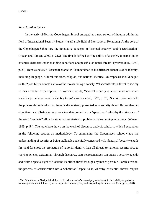# <span id="page-8-0"></span>*Securitization theory*

In the early 1990s, the Copenhagen School emerged as a new school of thought within the field of International Security Studies (itself a sub-field of International Relations). At the core of the Copenhagen School are the innovative concepts of "societal security" and "securitization" (Buzan and Hansen, 2009, p. 212). The first is defined as "the ability of a society to persist in its essential character under changing conditions and possible or actual threats" (Wæver et al., 1993, p. 23). Here, a society's "essential character" is understood as the different elements of its identity, including language, cultural traditions, religion, and national identity. An emphasis should be put on the "possible or actual" nature of the threats facing a society. What constitutes a threat to society is thus a matter of perception. In Wæver's words, "societal security is about situations when societies perceive a threat in identity terms" (Wæver et al., 1993, p. 23). Securitization refers to the process through which an issue is discursively presented as a security threat. Rather than an objective state of being synonymous to safety, security is a "speech act" whereby the utterance of the word "security" allows a state representative to problematize something as a threat (Wæver, 1995, p. 54). The logic here draws on the work of discourse analysis scholars, which I expand on in the following section on methodology. To summarize, the Copenhagen school views the understanding of security as being malleable and chiefly concerned with identity. If security entails first and foremost the protection of national identity, then all threats to national security are, to varying extents, existential. Through discourse, state representatives can create a security agenda and claim a special right to block the identified threat through any means possible. For this reason, the process of securitization has a Schmittian<sup>1</sup> aspect to it, whereby existential threats require

<sup>&</sup>lt;sup>1</sup> Carl Schmitt was a Nazi political theorist for whom a ruler's sovereignty culminated in their ability to protect a nation against a mortal threat by declaring a state of emergency and suspending the rule of law (Scheppele, 2004).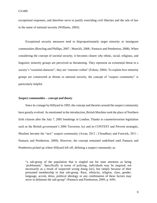exceptional responses, and therefore serve to justify overriding civil liberties and the rule of law in the name of national security (Williams, 2003).

Exceptional security measures tend to disproportionately target minority or immigrant communities (Bowling and Phillips, 2007 ; Moeckli, 2008 ; Pantazis and Pemberton, 2008). When considering the concept of societal security, it becomes clearer *why* ethnic, racial, religious, and linguistic minority groups are perceived as threatening. They represent an existential threat to a society's "essential character", they are "enemies within" (Fekete, 2004). To explain *how* minority groups are constructed as threats to national security, the concept of "suspect community" is particularly helpful.

#### <span id="page-9-0"></span>*Suspect communities – concept and theory*

Since its coinage by Hillyard in 1993, the concept and theories around the suspect community have greatly evolved. As mentioned in the introduction, British Muslims took the place of Northern Irish citizens after the July 7, 2005 bombings in London. Thanks to counterterrorism legislation such as the British government's 2006 Terrorism Act and its CONTEST and Prevent strategies, Muslims became the "new" suspect community (Awan, 2012; Choudhury and Fenwick, 2011; Pantazis and Pemberton, 2009). However, the concept remained undefined until Pantazis and Pemberton picked up where Hillyard left off, defining a suspect community as:

"a sub-group of the population that is singled out for state attention as being 'problematic'. Specifically in terms of policing, individuals may be targeted, not necessarily as a result of suspected wrong doing [sic], but simply because of their presumed membership to that sub-group. Race, ethnicity, religion, class, gender, language, accent, dress, political ideology or any combination of these factors may serve to delineate the sub-group" (Pantazis and Pemberton, 2009, p. 649).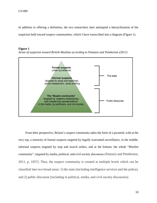In addition to offering a definition, the two researchers later attempted a hierarchization of the suspicion held toward suspect communities, which I have transcribed into a diagram (Figure 1).

# **Figure 1**



*Areas of suspicion toward British Muslims according to Pantazis and Pemberton (2011)*

From their perspective, Britain's suspect community takes the form of a pyramid, with at the very top, a minority of formal suspects targeted by legally-warranted surveillance, in the middle, informal suspects targeted by stop and search orders, and at the bottom, the whole "Muslim community", targeted by media, political, and civil society discourses (Pantazis and Pemberton, 2011, p. 1057). Thus, the suspect community is created at multiple levels which can be classified into two broad areas: 1) the state (including intelligence services and the police), and 2) public discourse (including in political, media, and civil society discourses).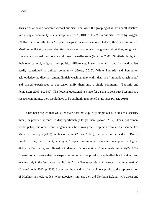GV499

This articulation did not come without criticism. For Greer, the grouping of all Irish or all Muslims into a single community is a "conceptual error" (2010, p. 1172) – a criticism shared by Raggazi (2016), for whom the term "suspect category" is more accurate. Indeed, there are millions of Muslims in Britain, whose identities diverge across cultures, languages, ethnicities, religiosity, five major doctrinal traditions, and dozens of smaller sects (Jackson, 2007). Similarly, in light of their own cultural, religious, and political differences, Ulster nationalists and Irish nationalists hardly constituted a unified community (Greer, 2010). While Pantazis and Pemberton acknowledge the diversity among British Muslims, they claim that their "ummatic attachments" and shared experiences of oppression unify them into a single community (Pantazis and Pemberton, 2009, pp. 649). This logic is questionable, since for a state to construct Muslims as a suspect community, they would have to be explicitly mentioned in its laws (Greer, 2010).

It has been argued that while the state does not explicitly single out Muslims as a security threat, in practice, it tends to disproportionately target them (Awan, 2012). Thus, policemen, border patrol, and other security agents must be drawing their suspicion from another source. For Marie Breen-Smyth (2013) and Nickels et al. (2012a, 2012b), that source is the media. In Breen-Smyth's view, the diversity among a "suspect community" poses no conceptual or logical difficulty. Borrowing from Benedict Anderson's famous notion of "imagined community" (1983), Breen-Smyth contends that the suspect community is not physically embodied, but imagined, and existing only in the "suspicious public mind" as a "fantasy product of the securitized imagination" (Breen-Smyth, 2013, p. 231). She traces the creation of a suspicious public to the representation of Muslims in media outlets, who associate Islam (as they did Northern Ireland) with threat and

11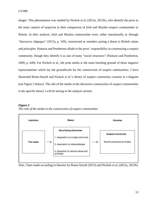danger. This phenomenon was studied by Nickels et al. (2012a, 2012b), who identify the press as the main catalyst of suspicion in their comparison of Irish and Muslim suspect communities in Britain. In their analysis, Irish and Muslim communities were, either intentionally or through "discursive slippages" (2012a, p. 349), constructed as outsiders posing a threat to British values and principles. Pantazis and Pemberton allude to the press' responsibility in constructing a suspect community, though they identify it as one of many "social structures" (Pantazis and Pemberton, 2009, p. 649). For Nickels et al., the print media is the main breeding ground of those negative representations which lay the groundwork for the construction of suspect communities. I have illustrated Breen-Smyth and Nickels et al.'s theory of suspect community creation in a diagram (see Figure 2 below). The role of the media in the discursive construction of suspect communities is the specific theory I will be testing in the analysis section.



*The role of the media in the construction of suspect communities* 



<span id="page-12-0"></span>*Note*. Chart made according to theories by Breen-Smyth (2013) and Nickels et al. (2012a, 2012b).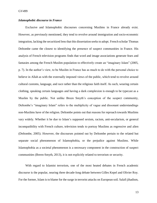# *Islamophobic discourse in France*

Exclusive and Islamophobic discourses concerning Muslims in France already exist. However, as previously mentioned, they tend to revolve around immigration and socio-economic integration, lacking the securitized lens that this dissertation seeks to adopt. French scholar Thomas Deltombe came the closest to identifying the presence of suspect communities in France. His analysis of French television programs finds that word and image associations generate fears and fantasies among the French Muslim population to effectively create an "imaginary Islam" (2005, p. 7). In the author's view, to be Muslim in France has as much to do with the personal choice to believe in Allah as with the externally imposed views of the public, which tend to revolve around cultural customs, language, and race rather than the religious faith itself. As such, wearing certain clothing, speaking certain languages and having a dark complexion is enough to be typecast as a Muslim by the public. Not unlike Breen Smyth's conception of the suspect community, Deltombe's "imaginary Islam" refers to the multiplicity of vague and dissonant understandings non-Muslims have of the religion. Deltombe points out that reasons for reproach towards Muslims vary widely. Whether it be due to Islam's supposed sexism, racism, anti-secularism, or general incompatibility with French culture, television tends to portray Muslims as regressive and alien (Deltombe, 2005). However, the discourses pointed out by Deltombe pertain to the related but separate social phenomenon of Islamophobia, or the prejudice against Muslims. While Islamophobia as a societal phenomenon is a necessary component in the construction of suspect communities (Breen-Smyth, 2013), it is not explicitly related to terrorism or security.

With regard to Islamist terrorism, one of the most heated debates in French academic discourse is the popular, nearing three decade-long debate between Gilles Kepel and Olivier Roy. For the former, Islam is to blame for the surge in terrorist attacks on European soil. Salafi jihadism,

13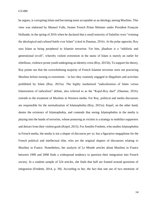he argues, is corrupting Islam and becoming more acceptable as an ideology among Muslims. This view was endorsed by Manuel Valls, former French Prime Minister under President François Hollande, in the spring of 2016 when he declared that a small minority of Salafists were "winning the ideological and cultural battle over Islam" (cited in Daumas, 2016). At the polar opposite, Roy sees Islam as being peripheral to Islamist terrorism. For him, jihadism is a "nihilistic and generational revolt", whereby violent extremism in the name of Islam is merely an outlet for rebellious, violence-prone youth undergoing an identity crisis (Roy, 2015b). To support his theory, Roy points out that the overwhelming majority of French Islamist terrorists were not practicing Muslims before turning to extremism – in fact they routinely engaged in illegalities and activities prohibited by Islam (Roy, 2015a). The highly mediatized "radicalization of Islam versus Islamization of radicalism" debate, also referred to as the "Kepel-Roy duel" (Daumas, 2016), extends to the treatment of Muslims in Western media. For Roy, political and media discourses are responsible for the normalization of Islamophobia (Roy, 2015a). Kepel, on the other hand, denies the existence of Islamophobia, and contends that seeing Islamophobia in the media is playing into the hands of terrorists, whose posturing as victims is a strategy to mobilize supporters and detract from their violent goals (Kepel, 2013). For Jennifer Fredette, who studies Islamophobia in French media, the media is not a shaper of discourse *per se*, but a figurative megaphone for the French political and intellectual elite, who are the original shapers of discourses relating to Muslims in France. Nonetheless, her analysis of Le Monde articles about Muslims in France between 1990 and 2008 finds a widespread tendency to question their integration into French society. In a random sample of 524 articles, she finds that half are framed around questions of integration (Fredette, 2014, p. 39). According to her, the fact that one out of two mentions of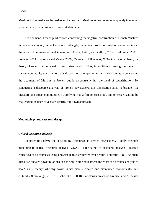Muslims in the media are framed as such constructs Muslims at best as an incompletely integrated population, and at worst as an unassimilable Other.

On one hand, French publications concerning the negative construction of French Muslims in the media abound, but lack a securitized angle, remaining mostly confined to Islamophobia and the issues of immigration and integration (Adida, Laitin, and Valfort, 2017 ; Deltombe, 2005 ; Fredette, 2014 ; Laurence and Vaisse, 2006 ; Yavari-D'Hellencourt, 2000). On the other hand, the theory of securitization remains overly state centric. Thus, in addition to testing the theory of suspect community construction, this dissertation attempts to nestle the rich literature concerning the treatment of Muslim in French public discourse within the field of securitization. By conducting a discourse analysis of French newspapers, this dissertation aims to broaden the literature on suspect communities by applying it to a foreign case study and on securitization, by challenging its restrictive state-centric, top-down approach.

# <span id="page-15-0"></span>**Methodology and research design**

## <span id="page-15-1"></span>*Critical discourse analysis*

In order to analyze the securitizing discourses in French newspapers, I apply methods pertaining to critical discourse analysis (CDA). As the father of discourse analysis, Foucault conceived of discourse as using knowledge to exert power over people (Foucault, 1980). As such, discourse dictates power relations in a society. Some have traced the roots of discourse analysis to neo-Marxist theory, whereby power is not merely created and maintained economically, but culturally (Fairclough, 2013 ; Titscher et al., 2000). Fairclough draws on Gramsci and Althusser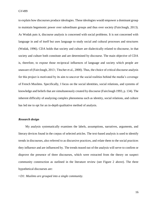GV499

to explain how discourses produce ideologies. These ideologies would empower a dominant group to maintain hegemonic power over subordinate groups and thus over society (Fairclough, 2013). As Wodak puts it, discourse analysis is concerned with social problems. It is not concerned with language in and of itself but uses language to study social and cultural processes and structures (Wodak, 1996). CDA holds that society and culture are dialectically related to discourse, in that society and culture both constitute and are determined by discourse. The main objective of CDA is, therefore, to expose those reciprocal influences of language and society which people are unaware of (Fairclough, 2013 ; Titscher et al., 2000). Thus, the choice of critical discourse analysis for this project is motivated by its aim to uncover the social realities behind the media's coverage of French Muslims. Specifically, I focus on the social identities, social relations, and systems of knowledge and beliefs that are simultaneously created by discourse (Fairclough 1993, p. 134). The inherent difficulty of analyzing complex phenomena such as identity, social relations, and culture has led me to opt for an in-depth qualitative method of analysis.

# <span id="page-16-0"></span>*Research design*

My analysis systematically examines the labels, assumptions, narratives, arguments, and literary devices found in the corpus of selected articles. The text-based analysis is used to identify trends in discourses, also referred to as discursive practices, and relate them to the social practices they influence and are influenced by. The trends teased out of the analysis will serve to confirm or disprove the presence of three discourses, which were extracted from the theory on suspect community construction as outlined in the literature review (see Figure 2 above). The three hypothetical discourses are:

*• D1: Muslims are grouped into a single community.*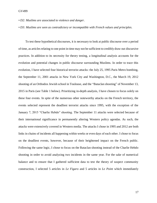- *• D2: Muslims are associated to violence and danger.*
- *• D3: Muslims are seen as contradictory or incompatible with French values and principles.*

To test these hypothetical discourses, it is necessary to look at public discourse over a period of time, as articles relating to one point in time may not be sufficient to credibly draw out discursive practices. In addition to its necessity for theory testing, a longitudinal analysis accounts for the evolution and potential changes in public discourse surrounding Muslims. In order to trace this evolution, I have selected four historical terrorist attacks: the July 25, 1995 Paris Metro bombing, the September 11, 2001 attacks in New York City and Washington, D.C., the March 19, 2012 shooting of an Orthodox Jewish school in Toulouse, and the "Bataclan shooting" of November 13, 2015 in Paris (see Table 1 below). Prioritizing in-depth analysis, I have chosen to focus solely on these four events. In spite of the numerous other noteworthy attacks on the French territory, the events selected represent the deadliest terrorist attacks since 1995, with the exception of the January 7, 2015 "Charlie Hebdo" shooting. The September 11 attacks were selected because of their international significance in permanently altering Western policy agendas. As such, the attacks were extensively covered in Western media. The attacks I chose in 1995 and 2012 are both links in chains of incidents all happening within weeks or even days of each other. I chose to focus on the deadliest events, however, because of their heightened impact on the French public. Following the same logic, I chose to focus on the Bataclan shooting instead of the Charlie Hebdo shooting in order to avoid analyzing two incidents in the same year. For the sake of numerical balance and to ensure that I gathered sufficient data to test the theory of suspect community construction, I selected 5 articles in *Le Figaro* and 5 articles in *Le Point* which immediately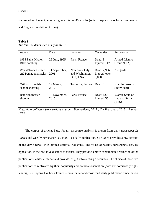succeeded each event, amounting to a total of 40 articles (refer to Appendix A for a complete list and English translation of titles).

# **Table 1**

*The four incidents used in my analysis*

| Attack                                     | Date                  | Location                                      | Casualties                            | Perpetrator                                  |
|--------------------------------------------|-----------------------|-----------------------------------------------|---------------------------------------|----------------------------------------------|
| 1995 Saint Michel<br><b>RER</b> bombing    | 25 July, 1995         | Paris, France                                 | Dead: 8<br>Injured: 117               | Armed Islamic<br>Group (GIA)                 |
| World Trade Center<br>and Pentagon attacks | 11 September,<br>2001 | New York City<br>and Washington,<br>D.C., USA | Dead: 2,996<br>Injured: over<br>6,000 | Al-Qaeda                                     |
| Orthodox Jewish<br>school shooting         | 19 March,<br>2012     | Toulouse, France                              | Dead: 4                               | Islamist terrorist<br>(individual)           |
| <b>Bataclan</b> theater<br>shooting        | 13 November.<br>2015  | Paris, France                                 | Dead: 130<br>Injured: 351             | Islamic State of<br>Iraq and Syria<br>(ISIS) |

*Note: data collected from various sources: Boumediene, 2015 ; De Pracontal, 2015 ; Plumer, 2013.*

The corpus of articles I use for my discourse analysis is drawn from daily newspaper *Le Figaro* and weekly newspaper *Le Point*. As a daily publication, *Le Figaro* provides a raw account of the day's news, with limited editorial polishing. The value of weekly newspapers lies, by opposition, in their relative distance to events. They provide a more contemplated reflection of the publication's editorial stance and provide insight into existing discourses. The choice of these two publications is motivated by their popularity and political orientation (both are notoriously rightleaning). *Le Figaro* has been France's most or second-most read daily publication since before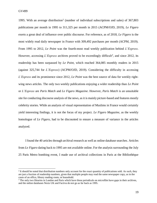1995. With an average distribution<sup>2</sup> (number of individual subscriptions and sales) of 367,803 publications per month in 1995 to 311,325 per month in 2015 (ACPM/OJD, 2019), *Le Figaro* exerts a great deal of influence over public discourse. For reference, as of 2018, *Le Figaro* is the most widely read daily newspaper in France with 309,492 purchases per month (ACPM, 2019). From 1995 to 2012, *Le Point* was the fourth-most read weekly publication behind *L'Express*. However, accessing *L'Express* archives proved to be exceedingly difficult<sup>3</sup>, and since 2012, its readership has been surpassed by *Le Point*, which reached 364,085 monthly readers in 2015 (against 325,744 for *L'Express*) (ACPM/OJD, 2019). Considering the difficulty in accessing *L'Express* and its prominence since 2012, *Le Point* was the best source of data for weekly rightwing news articles. The only two weekly publications enjoying a wider readership than *Le Point* or *L'Express* are *Paris Match* and *Le Figaro Magazine*. However, *Paris Match* is an unsuitable site for conducting discourse analysis of the news, as it is mainly picture-based and features mostly celebrity stories. While an analysis of visual representation of Muslims in France would certainly yield interesting findings, it is not the focus of my project. *Le Figaro Magazine*, as the weekly homologue of *Le Figaro*, had to be discounted to ensure a measure of variance in the articles analyzed.

I found the 40 articles through archival research as well as online database searches. Articles from *Le Figaro* dating back to 1995 are not available online. For the analysis surrounding the July 25 Paris Metro bombing event, I made use of archival collections in Paris at the Bibliothèque

 $2$  It should be noted that distribution numbers only account for the exact quantity of publications sold. As such, they are just a fraction of readership numbers, given that multiple people may read the same newspaper copy, as in the cases of an office, library reading room, or household.

<sup>&</sup>lt;sup>3</sup> The only two libraries in London and Paris which have these periodicals on microfilm have gaps in their archives, and the online databases Nexis UK and Factiva do not go as far back as 1995.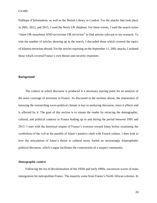Publique d'Information, as well as the British Library in London. For the attacks that took place in 2001, 2012, and 2015, I used the Nexis UK database. For these events, I used the search terms "*islam* OR *musulman* AND *terrorisme* OR *terroriste*" to find articles relevant to my research. To trim the number of articles showing up in the search, I discarded those which covered the topics of Islamist terrorism abroad. For the articles reporting on the September 11, 2001 attacks, I isolated those which covered France's own threats and security responses.

# <span id="page-20-0"></span>**Background**

The context in which discourse is produced is a necessary starting point for an analysis of the news coverage of terrorism in France. As discussed in the sections above, the importance of knowing the overarching socio-political climate is key to analyzing discourse, since it affects and is affected by it. The goal of this section is to situate the reader by retracing the demographic, cultural, and political contexts in France leading up to and during the period between 1995 and 2015. I start with the historical origins of France's aversion toward Islam before examining the symbolism of the veil as the parable of Islam's putative clash with French culture. I then look at how the articulation of Islam's threat in cultural terms fueled an increasingly Islamophobic political discourse, which I argue facilitates the construction of a suspect community.

#### <span id="page-20-1"></span>*Demographic context*

Following the era of decolonization of the 1950s and early 1960s, successive waves of mass immigration hit metropolitan France. The majority came from France's North African colonies. In

20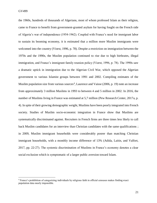GV499

the 1960s, hundreds of thousands of Algerians, most of whom professed Islam as their religion, came to France to benefit from government-granted asylum for having fought on the French side of Algeria's war of independence (1954-1962). Coupled with France's need for immigrant labor to sustain its booming economy, it is estimated that a million more Muslim immigrants were welcomed into the country (Viorst, 1996, p. 78). Despite a restriction on immigration between the 1970s and the 1990s, the Muslim population continued to rise due to high birthrates, illegal immigration, and France's immigrant family reunion policy (Viorst, 1996, p. 78). The 1990s saw a dramatic uptick in immigration due to the Algerian Civil War, which opposed the Algerian government to various Islamist groups between 1991 and 2002. Compiling estimates of the Muslim population size from various sources<sup>4</sup>, Laurence and Vaisse (2006, p. 19) note an increase from approximately 3 million Muslims in 1993 to between 4 and 5 million in 2002. In 2016, the number of Muslims living in France was estimated at 5,7 million (Pew Research Center, 2017a, p. 4). In spite of their growing demographic weight, Muslims have been poorly integrated into French society. Studies of Muslim socio-economic integration in France show that Muslims are systematically discriminated against. Recruiters in French firms are three times less likely to call back Muslim candidates for an interview than Christian candidates with the same qualifications ; in 2009, Muslim immigrant households were considerably poorer than matching Christian immigrant households, with a monthly income difference of 13% (Adida, Laitin, and Valfort, 2017, pp. 22-27). The systemic discrimination of Muslims in France's economy denotes a clear social exclusion which is symptomatic of a larger public aversion toward Islam.

<sup>4</sup> France's prohibition of categorizing individuals by religious faith in official censuses makes finding exact population data nearly impossible.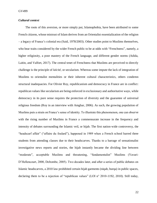# <span id="page-22-0"></span>*Cultural context*

The roots of this aversion, or more simply put, Islamophobia, have been attributed to some French citizens, whose mistrust of Islam derives from an Orientalist essentialization of the religion – a legacy of France's colonial era (Said, 1978/2003). Other studies point to Muslims themselves, who bear traits considered by the wider French public to be at odds with "Frenchness", namely, a higher religiosity, a poor mastery of the French language, and different gender norms (Adida, Laitin, and Valfort, 2017). The central tenet of Frenchness that Muslims are perceived to directly challenge is the principle of *laïcité*, or secularism. Whereas some impute the lack of integration of Muslims to orientalist mentalities or their inherent cultural characteristics, others condemn structural inadequacies. For Olivier Roy, republicanism and democracy in France are in conflict: republican values like secularism are being enforced in exclusionary and authoritative ways, while democracy in its pure sense requires the protection of diversity and the guarantee of universal religious freedom (Roy in an interview with Amghar, 2006). As such, the growing population of Muslims puts a strain on France's sense of identity. To illustrate this phenomenon, one can observe with the rising number of Muslims in France a commensurate increase in the frequency and intensity of debates surrounding the Islamic veil, or hijab. The first nation-wide controversy, the "headscarf affair" ("affaire du foulard"), happened in 1989 when a French school barred three students from attending classes due to their headscarves. Thanks to a barrage of sensationalist investigative news reports and stories, the hijab instantly became the dividing line between "moderate", acceptable Muslims and threatening, "fundamentalist" Muslims (Yavari-D'Hellencourt, 2000, Deltombe, 2005). Two decades later, and after a series of public debates on Islamic headscarves, a 2010 law prohibited certain hijab garments (niqab, burqa) in public spaces, declaring them to be a rejection of "republican values" (LOI n° 2010-1192, 2010). Still today,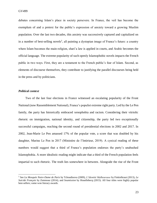debates concerning Islam's place in society persevere. In France, the veil has become the exemplum of and a pretext for the public's expression of anxiety toward a growing Muslim population. Over the last two decades, this anxiety was successively captured and capitalized on in a number of best-selling novels<sup>5</sup>, all painting a dystopian image of France's future: a country where Islam becomes the main religion, shari'a law is applied in courts, and Arabic becomes the official language. The extreme popularity of such openly Islamophobic novels impacts the French public in two ways. First, they are a testament to the French public's fear of Islam. Second, as elements of discourse themselves, they contribute to justifying the parallel discourses being held in the press and by politicians.

## <span id="page-23-0"></span>*Political context*

Two of the last four elections in France witnessed an escalating popularity of the Front National (now Rassemblement National), France's populist extreme right party. Led by the Le Pen family, the party has historically embraced xenophobia and racism. Considering their vitriolic rhetoric on immigration, national identity, and citizenship, the party led two exceptionally successful campaigns, reaching the second round of presidential elections in 2002 and 2017. In 2002, Jean-Marie Le Pen amassed 17% of the popular vote, a score that was doubled by his daughter, Marine Le Pen in 2017 (Ministère de l'Intérieur, 2019). A cynical reading of these numbers would suggest that a third of France's population endorses the party's unabashed Islamophobia. A more idealistic reading might indicate that a third of the French population feels impartial to such rhetoric. The truth lies somewhere in between. Alongside the rise of the Front

<sup>5</sup> See *La Mosquée Notre-Dame de Paris* by Tchoudinova (2009), *L'Identité Malheureuse* by Finkielkraut (2013), *Le Suicide Français* by Zemmour (2014), and *Soumission* by Houellebecq (2015). All four titles were highly popular best-sellers; some won literary awards.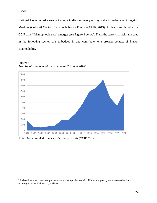National has occurred a steady increase in discriminatory or physical and verbal attacks against Muslims (Collectif Contre L'Islamophobie en France – CCIF, 2019). A clear trend in what the CCIF calls "Islamophobic acts" emerges (see Figure 3 below). Thus, the terrorist attacks analyzed in the following section are embedded in and contribute to a broader context of French Islamophobia.

# **Figure 3**



*The rise of Islamophobic acts between 2004 and 2018<sup>6</sup>*

*Note.* Data compiled from CCIF's yearly reports (CCIF, 2019).

<sup>&</sup>lt;sup>6</sup> It should be noted that attempts to measure Islamophobia remain difficult and grossly unrepresentative due to underreporting of incidents by victims.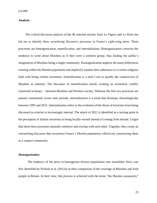# <span id="page-25-0"></span>**Analysis**

The critical discourse analysis of the 40 selected articles from *Le Figaro* and *Le Point* has led me to identify three securitizing discursive processes in France's right-wing press. These processes are homogenization, enemification, and internalization. Homogenization concerns the tendency to write about Muslims as if they were a uniform group, thus feeding the public's imagination of Muslims being a single community. Homogenization neglects the many differences existing within the Muslim population and implicitly equates their adherence to a certain religious faith with being violent extremists. Enemification is a term I use to qualify the construction of Muslims as enemies. The discourse of enemification entails creating an existential conflict expressed in binary – between Muslims and Western society. Whereas the first two processes are present consistently across time periods, internalization is a trend that develops chronologically between 1995 and 2015. Internalization refers to the evolution of the threat of terrorism from being discussed as exterior to increasingly internal. The attack of 2012 is identified as a turning point in the perception of Islamic terrorism as being locally-owned instead of coming from abroad. I argue that these three processes mutually reinforce and overlap with each other. Together, they create an overarching discourse that securitizes France's Muslim population, effectively constructing them as a suspect community.

# <span id="page-25-1"></span>*Homogenization*

The tendency of the press to homogenize diverse populations into monolithic blocs was first identified by Nickels et al. (2012a) in their comparison of the coverage of Muslims and Irish people in Britain. In their view, this process is achieved with the terms "the Muslim community"

25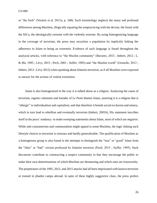or "the Irish" (Nickels et al. 2012a, p. 348). Such terminology neglects the many and profound differences among Muslims, illogically equating the nonpracticing with the devout, the Sunni with the Shi'a, the ideologically extreme with the violently extreme. By using homogenizing language in the coverage of terrorism, the press may securitize a population by implicitly linking the adherence to Islam to being an extremist. Evidence of such language is found throughout the analyzed articles, with reference to "the Muslim community" (Bavarez, 2015 ; Imbert, 2012 ; L. & Ma. 1995 ; Lévy, 2015 ; Pech, 2001 ; Suffer, 1995) and "the Muslim world" (Grenelle, 2012 ; Imbert, 2012 ; Lévy 2015) when speaking about Islamist terrorism, as if all Muslims were expected to answer for the actions of violent extremists.

Islam is also homogenized in the way it is talked about as a religion. Analyzing the cause of terrorism, regular columnist and founder of *Le Point* blames Islam, asserting it is a religion that is "allergic" to individualism and capitalism, and that therefore it breeds social exclusion and misery, which in turn lead to rebellion and eventually terrorism (Imbert, 2001b). His statement inscribes itself in the press' tendency to make sweeping statements about Islam, most of which are negative. While anti-consumerism and communalism might appeal to some Muslims, the logic linking such lifestyle choices to terrorism is tortuous and hardly generalizable. The qualification of Muslims as a homogenous group is also found in the attempts to distinguish the "true" or "good" Islam from the "false" or "bad" version professed by Islamist terrorists (Paoli, 2015 ; Suffer, 1995). Such discourses contribute to constructing a suspect community in that they encourage the public to make their own determinations of which Muslims are threatening and which ones are trustworthy. The perpetrators of the 1995, 2012, and 2015 attacks had all been imprisoned with known terrorists or trained in jihadist camps abroad. In spite of these highly suggestive clues, the press prefers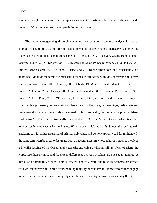people's lifestyle choices and physical appearances (all terrorists wear beards, according to Claude Imbert, 1995) as indications of their partiality for terrorism.

The main homogenizing discursive practice that emerged from my analysis is that of ambiguity. The terms used to refer to Islamist terrorism or the terrorists themselves come by the score (see Appendix B for a comprehensive list). The qualifiers, which vary widely from "Islamofascism" (Lévy, 2015 ; Sibony, 2001 ; Val, 2015) to Salafism (Askolovitch, 2012a and 2012b ; Imbert, 2012 ; Garat, 2015 ; Guénois, 2015a and 2015b) are ambiguous and consistently left undefined. Many of the terms are misused to associate orthodoxy with violent extremism. Terms such as "radical" (Garat, 2015 ; Leclerc, 2001 ; Oberlé, 1995) or "fanatical" Islam (De Belot, 2001, Imbert, 2001a and 2012 ; Sibony, 2001) and fundamentalism (D'Ormesson, 1995 ; Frat, 1995 ; Imbert, 2001b ; Paoli, 2015 ; "Terrorisme, le retour", 1995) are construed as extreme forms of Islam with a propensity for endorsing violence. Yet, in their original meanings, radicalism and fundamentalism are not negatively connotated. In fact, ironically, before being applied to Islam, "radicalism" in France was historically associated to the Radical Party (PRRRS), which is known to have established secularism in France. With respect to Islam, the fundamentalist or "radical" traditions call for a literal reading of original holy texts, and do not explicitly call for militancy. If the same terms can be used to designate both a peaceful Muslim whose religious practice involves a literalist reading of the Qur'an and a terrorist endorsing a violent, militant form of Islam, the words lose their meaning and the crucial differences between Muslims are once again ignored. A discourse of ambiguity around Islam is created, and as a result the religion becomes associated with violent extremism. For the overwhelming majority of Muslims in France who neither engage in nor condone violence, such ambiguity contributes to their stigmatization as security threats.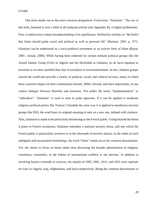One term stands out as the most common designation of terrorism: "Islamism". The use of this term, featured in over a third of all analyzed articles (see Appendix B), is highly problematic. First, it underscores a deep misunderstanding of its significance. Defined by scholars as "the belief that Islam should guide social and political as well as personal life" (Berman, 2003, p. 257), Islamism can be understood as a socio-political movement or an activist form of Islam (Bayat, 2005 ; Ismail, 2006). While having been endorsed by certain militant political groups like the Armed Islamic Group (GIA) in Algeria and the Hezbollah in Lebanon, its de facto equation to terrorism is no more justified than that of socialism or environmentalism. In fact, Islamist groups around the world also provide a variety of political, social, and cultural services, many of which have a positive impact on their communities (Ismail, 2006). Second, and more importantly, its use creates linkages between Muslims and terrorism. Not unlike the terms "fundamentalism" or "radicalism", "Islamism" is used to refer to polar opposites. If it can be applied to moderate religious political parties like Tunisia's Ennahda the same way it is applied to murderous terrorist groups like ISIS, the word loses its original meaning to take on a new one, imbued with violence. Thus, Islamism is made to be particularly threatening to the French public. Going beyond the threat it poses to French secularism, Islamism embodies a national security threat, and one which the French public is particularly sensitive to in the aftermath of terrorist attacks. In the midst of such ambiguity and inconsistent terminology, the word "Islam" stands out as the common denominator. Yet, the choice to focus on Islam rather than discussing the broader phenomenon of religious extremism, criminality, or the fallout of international conflicts is not obvious. In addition to involving known criminals or convicts, the attacks of 1995, 2001, 2012, and 2015 were reprisals for wars in Algeria, Iraq, Afghanistan, and Syria respectively. Being the common denominator in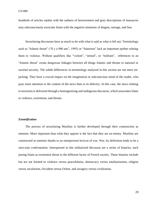hundreds of articles replete with the sadness of bereavement and gory descriptions of massacres may subconsciously associate Islam with the negative emotions of disgust, outrage, and fear.

Securitizing discourses have as much to do with what is said as what is left out. Terminology such as "Islamic threat" ("Il y a 900 ans", 1995) or "Islamism" lack an important epithet relating them to violence. Without qualifiers like "violent", "armed", or "militant", references to an "Islamic threat" create dangerous linkages between all things Islamic and threats to national or societal security. The subtle differences in terminology analyzed in this section are not mere nitpicking. They have a crucial impact on the imagination or subconscious mind of the reader, who pays more attention to the content of the news than to its delivery. In this case, the news relating to terrorism is delivered through a homogenizing and ambiguous discourse, which associates Islam to violence, extremism, and threats.

# <span id="page-29-0"></span>*Enemification*

The process of securitizing Muslims is further developed through their construction as enemies. More important than what they oppose is the fact that they are an enemy. Muslims are constructed as enemies thanks to an omnipresent lexicon of war. War, by definition tends to be a zero-sum confrontation. Interspersed in this militarized discourse are a series of binaries, each posing Islam as existential threat to the different facets of French society. These binaries include but are not limited to violence versus peacefulness, democracy versus totalitarianism, religion versus secularism, Occident versus Orient, and savagery versus civilization.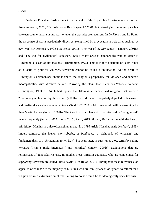Predating President Bush's remarks in the wake of the September 11 attacks (Office of the Press Secretary, 2001 ; "Text of George Bush's speech", 2001) but intensifying thereafter, parallels between counterterrorism and war, or even the crusades are recurrent. In *Le Figaro* and *Le Point*, the discourse of war is particularly direct, as exemplified by provocative article titles such as "A new war" (D'Ormesson, 1995; De Belot, 2001), "The war of the 21<sup>st</sup> century" (Imbert, 2001a), and "The war for civilization" (Giesbert, 2015). Many articles compare the war on terror to Huntingon's "clash of civilizations" (Huntington, 1993). This is in fact a critique of Islam, since as a tactic of political violence, terrorism cannot be called a civilization. At the heart of Huntington's commentary about Islam is the religion's propensity for violence and inherent incompatibility with Western culture. Mirroring the claim that Islam has "bloody borders" (Huntington, 1993, p. 35), Imbert opines that Islam is an "anarchical religion" that keeps a "missionary inclination by the sword" (2001b). Indeed, Islam is regularly depicted as backward and medieval – a salient orientalist trope (Said, 1978/2003). Muslims would still be searching for their Martin Luther (Imbert, 2001b). The idea that Islam has yet to be reformed or "enlightened" recurs frequently (Imbert, 2012 ; Lévy, 2015 ; Paoli, 2015, Sibony, 2001). In line with the idea of primitivity, Muslims are also often dehumanized. In a 1995 article ("La diagonale des fous", 1995), Imbert compares the French city suburbs, or *banlieues*, to "fishponds of terrorism" and fundamentalism to a "fermenting, rotten fruit". Six years later, he substitutes those terms by calling terrorists "Islam's rabid [members]" and "termites" (Imbert, 2001c), designations that are reminiscent of genocidal rhetoric. In another piece, Muslim countries, who are condemned for supporting terrorism are called "little devils" (De Belot, 2001). Throughout these references, an appeal is often made to the majority of Muslims who are "enlightened" or "good" to reform their religion or keep extremism in check. Failing to do so would be to ideologically back terrorism.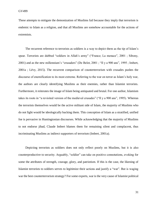These attempts to mitigate the demonization of Muslims fail because they imply that terrorism is endemic to Islam as a religion, and that all Muslims are somehow accountable for the actions of extremists.

The recurrent reference to terrorists as soldiers is a way to depict them as the tip of Islam's spear. Terrorists are dubbed "soldiers in Allah's army" ("France; La menace", 2001 ; Sibony, 2001) and as the new millennium's "crusaders" (De Belot, 2001 ; "Il y a 900 ans", 1995 ; Imbert, 2001a ; Lévy, 2015). The recurrent comparison of counterterrorism with crusades pushes the discourse of enemification to its most extreme. Referring to the war on terror as Islam's holy war, the authors are clearly identifying Muslims as their enemies, rather than Islamist terrorists. Furthermore, it reiterates the image of Islam being antiquated and brutal. For one author, Islamism takes its roots in "a revisited version of the medieval crusades" ("Il y a 900 ans", 1995). Whereas the terrorists themselves would be the active militant side of Islam, the majority of Muslims who do not fight would be ideologically backing them. This conception of Islam as a stratified, unified foe is pervasive in Huntingtonian discourses. While acknowledging that the majority of Muslims to not endorse jihad, Claude Imbert blames them for remaining silent and complacent, thus incriminating Muslims as indirect supporters of terrorism (Imbert, 2001a).

Depicting terrorists as soldiers does not only reflect poorly on Muslims, but it is also counterproductive to security. Arguably, "soldier" can take on positive connotations, evoking for some the attributes of strength, courage, glory, and patriotism. If this is the case, the likening of Islamist terrorists to soldiers serves to legitimize their actions and justify a "war". But is waging war the best counterterrorism strategy? For some experts, war is the very cause of Islamist political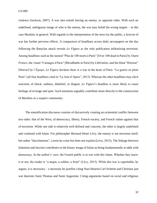violence (Jackson, 2007). A war also entails having an enemy, or opposite sides. With such an undefined, ambiguous image of who is the enemy, the war may befall the wrong targets  $-$  in this case Muslims in general. With regards to the interpretation of the news by the public, a lexicon of war has further perverse effects. A comparison of headlines across daily newspapers on the day following the Bataclan attack reveals *Le Figaro* as the only publication militarizing terrorism. Among headlines such as the neutral "Plus de 100 morts à Paris" [Over 100 dead in Paris] by *Ouest France*, the visual "Carnages à Paris" [Bloodbaths in Paris] by *Libération*, and the blunt "Horreur" [Horror] by *l'Équipe*, *Le Figaro* declares there is a war in the heart of Paris: "La guerre en plein Paris" (all four headlines cited in "Le Jour d'Apres", 2015). Whereas the other headlines may elicit reactions of shock, sadness, disbelief, or disgust, *Le Figaro*'s headline is more likely to rouse feelings of revenge and spite. Such emotions arguably contribute more directly to the construction of Muslims as a suspect community.

The enemification discourse consists of discursively creating an existential conflict between two sides: that of the West, of democracy, liberty, French society, and French values against that of terrorism. While one side is relatively well defined and concrete, the other is largely undefined and confused with Islam. For philosopher Bernard-Henri Lévy, the enemy is not terrorism itself, but rather "fascislamism", a term he coins but does not explain (Lévy, 2015). The linkage between Islamism and fascism contributes to the binary image of Islam as being fundamentally at odds with democracy. In the author's view, the French public is at war with this Islam. Whether they know it or not, the reader is "a target, a soldier, a front" (Lévy, 2015). While this war is regrettable, he argues, it is necessary – a necessity he justifies citing Nazi theorist Carl Schmitt and Christian just war theorists Saint Thomas and Saint Augustine. Citing arguments based on racial and religious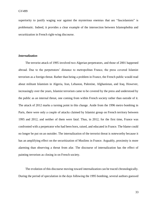superiority to justify waging war against the mysterious enemies that are "fascislamists" is problematic. Indeed, it provides a clear example of the intersection between Islamophobia and securitization in French right-wing discourse.

# <span id="page-33-0"></span>*Internalization*

The terrorist attack of 1995 involved two Algerian perpetrators, and those of 2001 happened abroad. Due to the perpetrators' distance to metropolitan France, the press covered Islamist terrorism as a foreign threat. Rather than being a problem in France, the French public would read about militant Islamism in Algeria, Iran, Lebanon, Palestine, Afghanistan, and Iraq. However, increasingly over the years, Islamist terrorism came to be covered by the press and understood by the public as an internal threat, one coming from within French society rather than outside of it. The attack of 2012 marks a turning point in this change. Aside from the 1996 metro bombing in Paris, there were only a couple of attacks claimed by Islamist group on French territory between 1995 and 2012, and neither of them were fatal. Thus, in 2012, for the first time, France was confronted with a perpetrator who had been born, raised, and educated in France. The blame could no longer be put on an outsider. The internalization of the terrorist threat is noteworthy because it has an amplifying effect on the securitization of Muslims in France. Arguably, proximity is more alarming than observing a threat from afar. The discourse of internalization has the effect of painting terrorism as closing in on French society.

The evolution of this discourse moving toward internalization can be traced chronologically. During the period of speculation in the days following the 1995 bombing, several authors guessed

33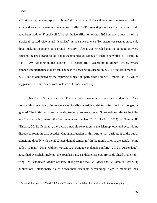at "unknown groups transposed at home" (D'Ormesson, 1995) and lamented the ease with which arms and weapon penetrated the country (Suffer, 1995), rejecting the idea that the bomb could have been made on French soil. Up until the identification of the 1995 bombers, almost all of the articles discussed Algeria and "Islamists" in the same sentence. Terrorism was seen as an outside threat making incursions onto French territory. After it was revealed that the perpetrators were Muslim, the press began to talk about the potential existence of "Islamic networks" ("Attentat: le filet", 1995) existing in the suburbs – a "rotten fruit" according to Imbert (1995), whose comparison internalizes the threat. The fear of networks resurfaces in 2001 ("France: la menace", 2001), but is dampened by the recurring subject of "permeable borders" (Imbert, 2001a), which suggests terrorism finds its roots outside of France's territory.

Unlike the 1995 attackers, the Toulouse killer was almost immediately identified. As a French Muslim citizen, the existence of locally-owned Islamist terrorism could no longer be ignored. The initial reactions by the right-wing press were muted. Some articles refer to the killer as a "psychopath", "mass killer" (Cornevin and Leclerc, 2012 ; Thréard, 2012), or "lone wolf" (Thréard, 2012). Generally, there was a notable relaxation in the Islamophobic and securitizing discourses found in past decades. One interpretation of this puzzle may attribute it to the attack coinciding directly with the 2012 presidential campaign<sup>7</sup>. In the month prior to the attack, voting polls ("13 mars", 2012 ; OpinionWay, 2012 ; "Sondage: Hollande conforte", 2012 ; "Un sondage", 2012) had overwhelmingly put the Socialist Party candidate François Hollande ahead of the rightwing UMP candidate Nicolas Sarkozy. It is possible that *Le Figaro* and *Le Point*, as right-wing publications, intentionally dialed down their discourse surrounding Islam to moderate their

 $<sup>7</sup>$  The attack happened on March 19. March 20 marked the first day of official presidential campaigning.</sup>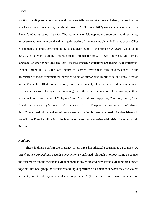political standing and curry favor with more socially progressive voters. Indeed, claims that the attacks are "not about Islam, but about terrorism" (Guénois, 2012) were uncharacteristic of *Le Figaro*'s editorial stance thus far. The abatement of Islamophobic discourses notwithstanding, terrorism was heavily internalized during this period. In an interview, Islamic Studies expert Gilles Kepel blames Islamist terrorism on the "social dereliction" of the French *banlieues* (Askolovitch, 2012b), effectively sourcing terrorism to the French territory. In even more straight-forward language, another expert declares that "we [the French population] are facing local initiatives" (Nexon, 2012). In 2015, the local nature of Islamist terrorism is fully acknowledged. In the description of the only perpetrator identified so far, an author even resorts to calling him a "French terrorist" (Labbé, 2015). So far, the only time the nationality of perpetrators had been mentioned was when they were foreign-born. Reaching a zenith in the discourse of internalization, authors talk about full blown wars of "religions" and "civilizations" happening "within [France]" and "inside our very society" (Bavarez, 2015 ; Giesbert, 2015). The putative proximity of the "Islamist threat" combined with a lexicon of war as seen above imply there is a possibility that Islam will prevail over French civilization. Such terms serve to create an existential crisis of identity within France.

# <span id="page-35-0"></span>*Findings*

These findings confirm the presence of all three hypothetical securitizing discourses. *D1* (*Muslims are grouped into a single community*) is confirmed. Through a homogenizing discourse, the differences among the French Muslim population are glossed over. French Muslims are lumped together into one group individuals straddling a spectrum of suspicion: at worst they are violent terrorists, and at best they are complacent supporters. *D2* (*Muslims are associated to violence and*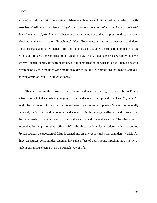*danger*) is confirmed with the framing of Islam in ambiguous and militarized terms, which directly associate Muslims with violence. *D3* (*Muslims are seen as contradictory or incompatible with French values and principles*) is substantiated with the evidence that the press tends to construct Muslims as the converse of "Frenchness". Here, Frenchness is tied to democracy, secularism, social progress, and non-violence – all values that are discursively constructed to be incompatible with Islam. Indeed, the enemification of Muslims may be a nationalist exercise whereby the press affirms French identity through negation, or the identification of what it is not. Such a negative coverage of Islam in the right-wing media provides the public with ample grounds to be suspicious, or even afraid of their Muslim co-citizens.

This section has thus provided convincing evidence that the right-wing media in France actively contributed securitizing language to public discourse for a period of at least 20 years. All in all, the discourses of homogenization and enemification serve to portray Muslims as generally fanatical, uncivilized, antidemocratic, and violent. It is through generalization and binaries that they are made to pose a threat to national security and societal security. The discourse of internalization amplifies these effects. With the threat of Islamist terrorism having penetrated French society, the question of Islam is turned into an emergency and a national identity crisis. All three discourses compounded together have the effect of constructing Muslims as an army of violent extremists closing in on the French way of life.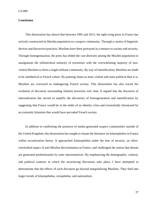# <span id="page-37-0"></span>**Conclusion**

This dissertation has shown that between 1995 and 2015, the right-wing press in France has actively constructed its Muslim population as a suspect community. Through a variety of linguistic devices and discursive practices, Muslims have been portrayed as a menace to society and security. Through homogenization, the press has elided the vast diversity among the Muslim population to amalgamate the infinitesimal minority of extremists with the overwhelming majority of nonviolent Muslims to form a single militant community. By way of enemification, Muslims are made to be antithetical to French values. By painting Islam as more violent and more political than it is, Muslims are conveyed as endangering French society. This dissertation has also traced the evolution of discourse surrounding Islamist terrorism over time. It argued that the discourse of internalization has served to amplify the discourses of homogenization and enemification by suggesting that France would be in the midst of an identity crisis and existentially threatened by an extremist Islamism that would have pervaded French society.

In addition to confirming the presence of media-generated suspect communities outside of the United Kingdom, this dissertation has sought to situate the literature on Islamophobia in France within securitization theory. It approached Islamophobia under the lens of security, an oftenoverlooked aspect of anti-Muslim discrimination in France, and challenged the notion that threats are generated predominantly by state representatives. By emphasizing the demographic, cultural, and political contexts in which the securitizing discourses take place, I have attempted to demonstrate that the effects of such discourse go beyond marginalizing Muslims. They feed into larger trends of Islamophobia, xenophobia, and nationalism.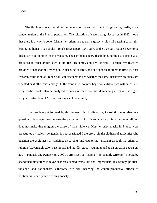GV499

The findings above should not be understood as an indictment of right-wing media, nor a condemnation of the French population. The relaxation of securitizing discourses in 2012 shows that there is a way to cover Islamist terrorism in neutral language while still catering to a rightleaning audience. As popular French newspapers, *Le Figaro* and *Le Point* produce hegemonic discourses but do not exist in a vacuum. Their influence notwithstanding, public discourse is also produced in other arenas such as politics, academia, and civil society. As such, my research provides a snapshot of French public discourse at large, and at a specific moment in time. Further research could look at French political discourse to see whether the same discursive practices are repeated or if other ones emerge. In the same vein, counter-hegemonic discourses within the leftwing media should also be analyzed to measure their potential dampening effect on the rightwing's construction of Muslims as a suspect community.

If the problem put forward by this research lies in discourse, its solution may also be a question of language. Just because the perpetrators of different attacks profess the same religion does not make that religion the cause of their violence. Most terrorist attacks in France were perpetrated by males – yet gender is not securitized. I therefore join the plethora of academics who question the usefulness of studying, discussing, and countering terrorism through the prism of religion (Cavanaugh, 2004 ; De Soysa and Nordås, 2007 ; Gunning and Jackson, 2011 ; Jackson, 2007 ; Pantazis and Pemberton, 2009). Terms such as "Islamist" or "Islamic terrorism" should be abandoned altogether in favor of more adapted terms like anti-imperialism, insurgency, political violence, and nationalism. Otherwise, we risk incurring the counterproductive effects of politicizing security and dividing society.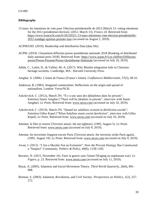# <span id="page-39-0"></span>**Bibliography**

13 mars: les intentions de vote pour l'élection présidentielle de 2012 [March 13: voting intentions for the 2012 presidential election]. (2012, March 13). *France 24*. Retrieved from: [https://www.france24.com/fr/20120321-13-mars-intentions-vote-election-presidentielle-](https://www.france24.com/fr/20120321-13-mars-intentions-vote-election-presidentielle-2012-sondage-opinion-premier-tour)[2012-sondage-opinion-premier-tour](https://www.france24.com/fr/20120321-13-mars-intentions-vote-election-presidentielle-2012-sondage-opinion-premier-tour) (accessed on August 2, 2019).

ACPM/OJD. (2019). Readership and distribution Data [data file].

- ACPM. (2019). Classement diffusion presse quotidienne nationale 2018 [Ranking of distributed daily national press 2018]. Retrieved from: [https://www.acpm.fr/Les-chiffres/Diffusion](https://www.acpm.fr/Les-chiffres/Diffusion-presse/Presse-Payante/Presse-Quotidienne-Nationale)[presse/Presse-Payante/Presse-Quotidienne-Nationale](https://www.acpm.fr/Les-chiffres/Diffusion-presse/Presse-Payante/Presse-Quotidienne-Nationale) (accessed on July 16, 2019).
- Adida, C., Laitin, D., & Valfort, M.-A. (2017). Why Muslim integration fails in Christianheritage societies. Cambridge, MA : Harvard University Press.
- Amghar, S. (2006). L'islam de France [France's Islam]. *Confluences Méditerranée*, *57*(2), 49-55.
- Anderson, B. (1983). Imagined communities: Reflections on the origin and spread of nationalism. London: Verso/NLB.
- Askolovitch, C. (2012a, March 29). "Il y a une aura des djihadistes dans les prisons"; Entretien Samir Amghar ["There will be jihadists in prisons", interview with Samir Amghar]. *Le Point*. Retrieved from: [www.nexis.com](http://www.nexis.com/) (accessed on July 10, 2019).
- Askolovitch, C. (2012b, March 29). "Quand les salafistes croisent la déréliction sociale"; Entretien Gilles Kepel ["When Salafism meets social dereliction", interview with Gilles Kepel]. *Le Point*. Retrieved from: [www.nexis.com](http://www.nexis.com/) (accessed on July 10, 2019).
- Attentat: le filet se reserre [Terrorist attack: the net tightens]. (1995, August 5). *Le Point*. Retrieved from: [www.nexis.com](http://www.nexis.com/) (accessed on July 9, 2019).
- Attentat: les terroristes frappent encore Paris [Terrorist attack: the terrorists strike Paris again]. (1995, August 19). *Le Point*. Retrieved from: [www.nexis.com](http://www.nexis.com/) (accessed on July 9, 2019).
- Awan, I. (2012). "I Am a Muslim Not an Extremist": How the Prevent Strategy Has Constructed a "Suspect" Community. *Politics & Policy, 40*(6), 1158-1185.
- Bavarez, N. (2015, November 16). Faire la guerre sans l'aimer [Waging an unpleasant war]. *Le Figaro*, p. 23. Retrieved from: [www.nexis.com](http://www.nexis.com/) (accessed on July 11, 2019).
- Bayat, A. (2005). Islamism and Social Movement Theory. *Third World Quarterly, 26*(6), 891- 908.
- Berman, S. (2003). Islamism, Revolution, and Civil Society. *Perspectives on Politics, 1*(2), 257- 272.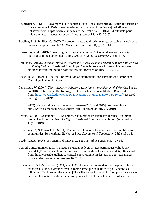- Boumediene, A. (2015, November 14). Attentats à Paris: Trois décennies d'attaques terroristes en France [Attacks in Paris: three decades of terrorist attacks in France]. *20 Minutes*. Retrieved from: [https://www.20minutes.fr/societe/1730231-20151114-attentats-paris](https://www.20minutes.fr/societe/1730231-20151114-attentats-paris-trois-decennies-attaques-terroristes-france)[trois-decennies-attaques-terroristes-france](https://www.20minutes.fr/societe/1730231-20151114-attentats-paris-trois-decennies-attaques-terroristes-france) (accessed July 23, 2019).
- Bowling, B., & Phillips, C. (2007). Disproportionate and discriminatory: reviewing the evidence on police stop and search. *The Modern Law Review, 70*(6), 936-961.
- Breen-Smyth, M. (2013). Theorising the "suspect community": Counterterrorism, security practices and the public imagination. *Critical Studies on Terrorism, 7*(2), 1-18.
- Brookings. (2015). *American Attitudes Toward the Middle East and Israel: A public opinion poll by Shibley Telhami*. Retrieved from: [https://www.brookings.edu/research/american](https://www.brookings.edu/research/american-attitudes-toward-the-middle-east-and-israel/)[attitudes-toward-the-middle-east-and-israel/](https://www.brookings.edu/research/american-attitudes-toward-the-middle-east-and-israel/) (accessed on June 12, 2019).
- Buzan, B., & Hansen, L. (2009). The evolution of international security studies. Cambridge: Cambridge University Press.
- Cavanaugh, W. (2004). *The violence of 'religion': examining a prevalent myth* (Working Papers no. 310). Notre Dame, IN: Kellogg Institute for International Studies. Retrieved from: <http://www.nd.edu/~kellogg/publications/workingpapers/WPS/310.pdf> (accessed on August 10, 2019).
- CCIF. (2019). Rapports du CCIF [See reports between 2004 and 2019]. Retrieved from: <http://www.islamophobie.net/rapports-ccif/> (accessed on July 23, 2019).
- Cettina, N. (2001, September 13). La France, Vigipirate et les islamistes [France, Vigipirate protocol and the Islamists]. *Le Figaro*. Retrieved from: [www.nexis.com](http://www.nexis.com/) (accessed on July 9, 2019).
- Choudhury, T., & Fenwick, H. (2011). The impact of counter-terrorism measures on Muslim communities. *International Review of Law, Computers & Technology, 25*(3), 151-181.
- Coady, C.A.J. (2004). Terrorism and Innocence. *The Journal of Ethics, 8*(37), 37-58.
- Conseil Constitutionnel. (2017). Élection Presidentielle 2017: Les parrainages validés par candidat [President election: the confirmed sponsorships for each candidate]. Retrieved from: [https://presidentielle2017.conseil-constitutionnel.fr/les-parrainages/parrainages](https://presidentielle2017.conseil-constitutionnel.fr/les-parrainages/parrainages-par-candidat/)[par-candidat/](https://presidentielle2017.conseil-constitutionnel.fr/les-parrainages/parrainages-par-candidat/) (accessed on August 10, 2019).
- Cornevin, C., & J.-M. Leclerc. (2012, March 20). Le tueur est entré dans l'école pour finir son carnage; Il a tué ses victimes avec la même arme que celle utilisée pour abattre les militaires à Toulouse et Montauban [The killer entered to school to complete his carnage; he killed his victims with the same weapon used to kill the soldiers in Toulouse and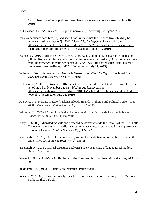Montauban]. *Le Figaro*, p. 4. Retrieved from: [www.nexis.com](http://www.nexis.com/) (accessed on July 10, 2019).

D'Ormesson, J. (1995, July 27). Une guerre nouvelle [A new war]. *Le Figaro*, p. 7.

- Dans les banlieues sensibles, le jihad séduit une "ultra-minorité" [In sensitive suburbs, jihad attracts an "ultra-minority"]. (2012, March 22). *La Dépèche*. Retrieved from: [https://www.ladepeche.fr/article/2012/03/22/1312522-dans-les-banlieues-sensibles-le](https://www.ladepeche.fr/article/2012/03/22/1312522-dans-les-banlieues-sensibles-le-jihad-seduit-une-ultra-minorite.html)[jihad-seduit-une-ultra-minorite.html](https://www.ladepeche.fr/article/2012/03/22/1312522-dans-les-banlieues-sensibles-le-jihad-seduit-une-ultra-minorite.html) (accessed on August 10, 2019).
- Daumas, C. (2016, April 14). Olivier Roy et Gilles Kepel, querelle française sur le jihadisme [Olivier Roy and Gilles Kepel, a French disagreement on jihadism]. *Libération*. Retrieved from: [https://www.liberation.fr/debats/2016/04/14/olivier-roy-et-gilles-kepel-querelle](https://www.liberation.fr/debats/2016/04/14/olivier-roy-et-gilles-kepel-querelle-francaise-sur-le-jihadisme_1446226)[francaise-sur-le-jihadisme\\_1446226](https://www.liberation.fr/debats/2016/04/14/olivier-roy-et-gilles-kepel-querelle-francaise-sur-le-jihadisme_1446226) (accessed on July 11, 2019).
- De Belot, J. (2001, September 12). Nouvelle Guerre [New War]. *Le Figaro.* Retrieved from: [www.nexis.com](http://www.nexis.com/) (accessed on July 9, 2019).
- De Pracontal, M. (2015, November 18). La liste des victimes des attentats du 13 novembre [The list of the 13 of November attacks]. *Mediapart*. Retrieved from: [https://www.mediapart.fr/journal/france/181115/la-liste-des-victimes-des-attentats-du-13](https://www.mediapart.fr/journal/france/181115/la-liste-des-victimes-des-attentats-du-13-novembre) [novembre](https://www.mediapart.fr/journal/france/181115/la-liste-des-victimes-des-attentats-du-13-novembre) (accessed on July 23, 2019).
- De Soysa, I., & Nordås, R. (2007). Islam's Bloody Innards? Religion and Political Terror, 1980– 2000. *International Studies Quarterly, 51*(3), 927–943.
- Deltombe, T. (2005). L'islam imaginaire: La construction médiatique de l'islamophobie en France, 1975-2005. Paris: Découverte.
- Duffy, D. (2009). Alienated radicals and detached deviants: what do the lessons of the 1970 Falls Curfew and the alienation–radicalisation hypothesis mean for current British approaches to counter-terrorism? *Policy Studies, 30*(2), 127-142.
- Fairclough, N. (1993). Critical discourse analysis and the marketization of public discourse: the universities. *Discourse & Society, 4*(2), 133-68.
- Fairclough, N. (2013). Critical discourse analysis: The critical study of language. Abingdon, Oxon : Routledge.
- Fekete, L. (2004). Anti-Muslim Racism and the European Security State. *Race & Class, 46*(1), 3- 29.

Finkielkraut, A. (2013). L'Identité Malheureuse. Paris: Stock.

Foucault, M. (1980). Power/knowledge: a selected interviews and other writings 1972-77. New York: Pantheon Books.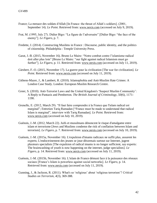- France; La menace des soldats d'Allah [In France: the threat of Allah's soldiers]. (2001, September 14). *Le Point*. Retrieved from: [www.nexis.com](http://www.nexis.com/) (accessed on July 9, 2019).
- Frat, M. (1995, July 27). Didier Bigo: "La figure de l'adversaire" [Didier Bigo: "the face of the enemy"]. *Le Figaro*, p. 7.
- Fredette, J. (2014). Constructing Muslims in France : Discourse, public identity, and the politics of citizenship. Philadelphia : Temple University Press.
- Garat, J.-B. (2015, November 16). Bruno Le Maire: "Notre combat contre l'islamisme radical doit aller plus loin" [Bruno Le Maire: "our fight against radical Islamism must go further"]. *Le Figaro*, p. 11. Retrieved from: [www.nexis.com](http://www.nexis.com/) (accessed on July 11, 2019).
- Giesbert, F.-O. (2015, November 17). La guerre pour la civilization [The war for civilization]. *Le Point*. Retrieved from: [www.nexis.com](http://www.nexis.com/) (accessed on July 11, 2019).
- Githens-Mazer, J., & Lambert, R. (2010). Islamophobia and Anti-Muslim Hate Crimes: A London Case Study. London: European Muslim Research Centre.
- Greer, S. (2010). Anti-Terrorist Laws and the United Kingdom's 'Suspect Muslim Community': A Reply to Pantazis and Pemberton. *The British Journal of Criminology, 50*(6), 1171- 1190.
- Grenelle, E. (2012, March 29). "Il faut faire comprendre à la France que l'islam radical est marginal"; Entretien Tariq Ramadan ["France must be made to understand that radical Islam is marginal", interview with Tariq Ramadan]. *Le Point.* Retrieved from: [www.nexis.com](http://www.nexis.com/) (accessed on July 10, 2019).
- Guénois, J.-M. (2012, March 22). Juifs et musulmans dénoncent le risque d'amalgame entre islam et terrorisme [Jews and Muslims condemn the risk of conflation between Islam and terrorism]. *Le Figaro*, p. 7. Retrieved from: [www.nexis.com](http://www.nexis.com/) (accessed on July 10, 2019).
- Guénois, J.-M. (2015a, November 16). L'expulsion d'imams radicaux ne suffit plus, assurent les experts; L'endoctrinement des jeunes se joue désormais surtout sur Internet, jugent plusieurs specialists [The expulsion of radical imams is no longer sufficient, say experts: The brainwashing of youth is now happening on the internet, judge specialists]. *Le Figaro*, p. 14. Retrieved from: [www.nexis.com](http://www.nexis.com/) (accessed on July 11, 2019).
- Guénois, J.-M. (2015b, November 16). L'islam de France démuni face à la puissance des réseaux sociaux [France's Islam is powerless against social networks]. *Le Figaro*, p. 14. Retrieved from: [www.nexis.com](http://www.nexis.com/) (accessed on July 11, 2019).
- Gunning, J., & Jackson, R. (2011). What's so 'religious' about 'religious terrorism'? *Critical Studies on Terrorism, 4*(3), 369-388.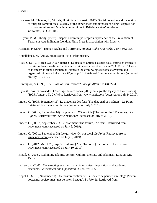- Hickman, M., Thomas, L., Nickels, H., & Sara Silvestri. (2012). Social cohesion and the notion of 'suspect communities': a study of the experiences and impacts of being 'suspect' for Irish communities and Muslim communities in Britain. *Critical Studies on Terrorism, 5*(1), 89-106.
- Hillyard, P., & Liberty. (1993). Suspect community: People's experience of the Prevention of Terrorism Acts in Britain. London: Pluto Press in association with Liberty.
- Hoffman, P. (2004). Human Rights and Terrorism. *Human Rights Quarterly, 26*(4), 932-955.

Houellebecq, M. (2015). Soumission. Paris: Flammarion.

Huet, S. (2012, March 22). Alain Bauer : "Le risque islamiste n'est pas sous-estimé en France"; Le criminologue souligne "le lien entre crime organisé et terrorisme" [A. Bauer: "Threat of Islamism is taken seriously in France": the criminologist stresses terrorism and organized crime are linked]. *Le Figaro*, p. 10. Retrieved from: [www.nexis.com](http://www.nexis.com/) (accessed on July 10, 2019).

Huntington, S. (1993). The Clash of Civilizations? *Foreign Affairs, 72*(3), 22-49.

- Il y a 900 ans les croisades: L'héritage des croisades [900 years ago: the legacy of the crusades]. (1995, August 19). *Le Point*. Retrieved from: [www.nexis.com](http://www.nexis.com/) (accessed on July 9, 2019).
- Imbert, C. (1995, September 16). La diagonale des fous [The diagonal of madness]. *Le Point*. Retrieved from: [www.nexis.com](http://www.nexis.com/) (accessed on July 9, 2019).
- Imbert, C. (2001a, September 14). La guerre du XXIe siècle [The war of the 21<sup>st</sup> century]. Le *Figaro*. Retrieved from: [www.nexis.com](http://www.nexis.com/) (accessed on July 9, 2019).
- Imbert, C. (2001b, September 21). Le châtiment [The torture]. *Le Point*. Retrieved from: [www.nexis.com](http://www.nexis.com/) (accessed on July 9, 2019).
- Imbert, C. (2001c, September 28). Le qui-vive [On our toes]. *Le Point.* Retrieved from: [www.nexis.com](http://www.nexis.com/) (accessed on July 9, 2019).
- Imbert, C. (2012, March 29). Après Toulouse [After Toulouse]. *Le Point*. Retrieved from: [www.nexis.com](http://www.nexis.com/) (accessed on July 10, 2019).
- Ismail, S. (2006). Rethinking Islamist politics: Culture, the state and Islamism. London: I.B. Tauris.
- Jackson, R. (2007). Constructing enemies: 'Islamic terrorism' in political and academic discourse. *Government and Opposition, 42*(3), 394-426.
- Kepel, G. (2013, November 1). Une posture victimaire: La société ne peut en être otage [Victim posturing: society must not be taken hostage]. *Le Monde*. Retrieved from: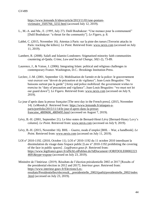[https://www.lemonde.fr/idees/article/2013/11/01/une-posture](https://www.lemonde.fr/idees/article/2013/11/01/une-posture-victimaire_3505766_3232.html)[victimaire\\_3505766\\_3232.html](https://www.lemonde.fr/idees/article/2013/11/01/une-posture-victimaire_3505766_3232.html) (accessed July 12, 2019).

- L., M.-A. and Ma., E. (1995, July 27). Dalil Boubakeur: "Une menace pour la communauté" [Dalil Boubakeur: "a threat for the community"]. *Le Figaro*, p. 8.
- Labbé, C. (2015, November 16). Attentas à Paris: sur la piste des tueurs [Terrorist attacks in Paris: tracking the killers]. *Le Point*. Retrieved from: [www.nexis.com](http://www.nexis.com/) (accessed on July 11, 2019).
- Lambert, R. (2008). Salafi and Islamist Londoners: Stigmatised minority faith communities countering al-Qaida. *Crime, Law and Social Change, 50*(1-2), 73-89.
- Laurence, J., & Vaisse, J. (2006). Integrating Islam: political and religious challenges in contemporary France. Washington, D.C.: Brookings Institution Press.
- Leclerc, J.-M. (2001, September 12). Mobilisation de l'armée et de la police: le gouvernement veut exercer son "devoir de précaution et de vigilance"; Jean-Louis Bruguière: "Ne baissons surtout pas la garde" [Army and police mobilized: the government wishes to exercise its "duty of precaution and vigilance"; Jean-Louis Bruguière: "we must not let our guard down"]. *Le Figaro*. Retrieved from: [www.nexis.com](http://www.nexis.com/) (accessed on July 9, 2019).
- Le jour d'après dans la presse française [The next day in the French press]. (2015, November 14). *LeMonde.fr*. Retrieved from: [https://www.lemonde.fr/attaques-a](https://www.lemonde.fr/attaques-a-paris/portfolio/2015/11/14/le-jour-d-apres-dans-la-presse-francaise_4809606_4809495.html)[paris/portfolio/2015/11/14/le-jour-d-apres-dans-la-presse](https://www.lemonde.fr/attaques-a-paris/portfolio/2015/11/14/le-jour-d-apres-dans-la-presse-francaise_4809606_4809495.html)[francaise\\_4809606\\_4809495.html](https://www.lemonde.fr/attaques-a-paris/portfolio/2015/11/14/le-jour-d-apres-dans-la-presse-francaise_4809606_4809495.html) (accessed on August 7, 2019).
- Lévy, B.-H. (2001, September 21). Le bloc-notes de Bernard-Henri Lévy [Bernard-Henry Levy's column]. *Le Point.* Retrieved from: [www.nexis.com](http://www.nexis.com/) (accessed on July 9, 2019).
- Lévy, B.-H. (2015, November 16). BHL Guerre, mode d'emploi [BHL War, a handbook]. *Le Point*. Retrieved from: [www.nexis.com](http://www.nexis.com/) (accessed on July 11, 2019).
- LOI n° 2010-1192. (2010, October 11). LOI n° 2010-1192 du 11 octobre 2010 interdisant la dissimulation du visage dans l'espace public [Law n° 2010-1192 prohibiting the covering of the face in public spaces] . *Legifrance.gouv.fr*. Retrieved from: [https://www.legifrance.gouv.fr/affichLoiPubliee.do?idDocument=JORFDOLE00002223](https://www.legifrance.gouv.fr/affichLoiPubliee.do?idDocument=JORFDOLE000022234691&type=expose) [4691&type=expose](https://www.legifrance.gouv.fr/affichLoiPubliee.do?idDocument=JORFDOLE000022234691&type=expose) (accessed on July 23, 2019).
- Ministère de l'Intérieur. (2019). Résultats de l'élection présidentielle 2002 et 2017 [Results of the presidential election in 2012 and 2017]. *Interieur.gouv*. Retrieved from: [https://www.interieur.gouv.fr/Elections/Les](https://www.interieur.gouv.fr/Elections/Les-resultats/Presidentielles/elecresult__presidentielle_2002/(path)/presidentielle_2002/index.html)[resultats/Presidentielles/elecresult\\_\\_presidentielle\\_2002/\(path\)/presidentielle\\_2002/index](https://www.interieur.gouv.fr/Elections/Les-resultats/Presidentielles/elecresult__presidentielle_2002/(path)/presidentielle_2002/index.html) [.html](https://www.interieur.gouv.fr/Elections/Les-resultats/Presidentielles/elecresult__presidentielle_2002/(path)/presidentielle_2002/index.html) (accessed on July 23, 2019).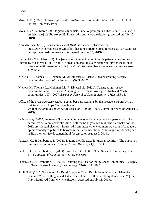- Moeckli, D. (2008). Human Rights and Non-Discrimination in the 'War on Terror'. Oxford: Oxford University Press.
- Moix, Y. (2012, March 23). Stagiaires djihadistes: une loi pour punir [Jihadist interns: a law to punish them]. *Le Figaro*, p. 23. Retrieved from: [www.nexis.com](http://www.nexis.com/) (accessed on July 10, 2019).
- New America. (2018). *American View of Muslims Survey*. Retrieved from: [https://www.newamerica.org/muslim-diaspora-initiative/press-releases/survey-examines](https://www.newamerica.org/muslim-diaspora-initiative/press-releases/survey-examines-perceptions-muslim-americans/)[perceptions-muslim-americans/](https://www.newamerica.org/muslim-diaspora-initiative/press-releases/survey-examines-perceptions-muslim-americans/) (accessed on June 12, 2019).

Nexon, M. (2012, March 29). Al-Qaeda a tout intérêt à revendiquer la paternité des tueries;

- Entretien Jean-Pierre Filiu [It is in Al-Qaeda's interest to claim responsibility for the killings; interview with Jean-Pierre Filiu]. *Le Point*. Retrieved from: [www.nexis.com](http://www.nexis.com/) (accessed on July 10, 2019).
- Nickels, H., Thomas, L., Hickman, M., & Silvestri, S. (2012a). De/constructing "suspect" communities. *Journalism Studies, 13*(3), 340-355.
- Nickels, H., Thomas, L., Hickman, M., & Silvestri, S. (2012b). Constructing 'suspect' communities and Britishness: Mapping British press coverage of Irish and Muslim communities, 1974–2007. *European Journal of Communication, 27*(2), 135-151.
- Office of the Press Secretary. (2001, September 16). Remarks by the President Upon Arrival. Retrieved from: [https://georgewbush](https://georgewbush-whitehouse.archives.gov/news/releases/2001/09/20010916-2.html)[whitehouse.archives.gov/news/releases/2001/09/20010916-2.html](https://georgewbush-whitehouse.archives.gov/news/releases/2001/09/20010916-2.html) (accessed on August 7, 2019).
- OpinionWay. (2012, February). Sondage OpinionWay Fiducial pour Le Figaro et LCI : Le baromètre de la présidentielle 2012 [Poll for Le Figaro and LCI: The barometer for the 2012 presidential election]. Retrieved from: [https://www.opinion-way.com/fr/sondage-d](https://www.opinion-way.com/fr/sondage-d-opinion/sondages-publies/le-barometre-de-la-presidentielle-2012-vague-4-fiducial-pour-le-figaro-et-lci/viewdocument.html)[opinion/sondages-publies/le-barometre-de-la-presidentielle-2012-vague-4-fiducial-pour](https://www.opinion-way.com/fr/sondage-d-opinion/sondages-publies/le-barometre-de-la-presidentielle-2012-vague-4-fiducial-pour-le-figaro-et-lci/viewdocument.html)[le-figaro-et-lci/viewdocument.html](https://www.opinion-way.com/fr/sondage-d-opinion/sondages-publies/le-barometre-de-la-presidentielle-2012-vague-4-fiducial-pour-le-figaro-et-lci/viewdocument.html) (accessed on August 2, 2019).
- Pantazis, C., & Pemberton, S. (2008). Trading civil liberties for greater security?: The impact on minority communities. *Criminal Justice Matters, 73*(1), 12-14.
- Pantazis, C., & Pemberton, S. (2009). From the 'Old' to the 'New' Suspect Community. *The British Journal of Criminology, 49*(5), 646-666.
- Pantazis, C., & Pemberton, S. (2011). Restating the Case for the 'Suspect Community': A Reply to Greer. *British Journal of Criminology, 51*(6), 1054-1062.
- Paoli, P.-F. (2015, November 18). Rémi Brague et Tahar Ben Jelloun: Y a-t-il un islam des Lumières? [Rémi Brague and Tahar Ben Jelloun: "Is there an Enlightened Islam?"]. *Le Point*. Retrieved from: [www.nexis.com](http://www.nexis.com/) (accessed on July 11, 2019).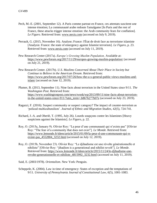- Pech, M.-E. (2001, September 12). A Paris comme partout en France, ces attentats suscitent une intense émotion; La communauté arabe redoute l'amalgame [In Paris and the rest of France, these attacks trigger intense emotion: the Arab community fears for conflation]. *Le Figaro*. Retrieved from: [www.nexis.com](http://www.nexis.com/) (accessed on July 9, 2019).
- Perrault, G. (2015, November 16). Analyse; France: l'État de droit face au terrorisme islamiste [Analysis: France: the state of emergency against Islamist terrorism]. *Le Figaro*, p. 23. Retrieved from: [www.nexis.com](http://www.nexis.com/) (accessed on July 11, 2019).
- Pew Research Center (2017a). *Europe's Growing Muslim Population*. Available at: <https://www.pewforum.org/2017/11/29/europes-growing-muslim-population/> (accessed on July 21, 2019).
- Pew Research Center. (2017b). *U.S. Muslims Concerned About Their Place in Society but Continue to Believe in the American Dream*. Retrieved from: [https://www.pewforum.org/2017/07/26/how-the-u-s-general-public-views-muslims-and](https://www.pewforum.org/2017/07/26/how-the-u-s-general-public-views-muslims-and-islam/)[islam/](https://www.pewforum.org/2017/07/26/how-the-u-s-general-public-views-muslims-and-islam/) (accessed on June 12, 2019).
- Plumer, B. (2013, September 11). Nine facts about terrorism in the United States since 9/11. *The Washington Post*. Retrieved from: [https://www.washingtonpost.com/news/wonk/wp/2013/09/11/nine-facts-about-terrorism](https://www.washingtonpost.com/news/wonk/wp/2013/09/11/nine-facts-about-terrorism-in-the-united-states-since-911/?utm_term=.b8676277b07e)[in-the-united-states-since-911/?utm\\_term=.b8676277b07e](https://www.washingtonpost.com/news/wonk/wp/2013/09/11/nine-facts-about-terrorism-in-the-united-states-since-911/?utm_term=.b8676277b07e) (accessed on July 23, 2019).
- Ragazzi, F. (2016). Suspect community or suspect category? The impact of counter-terrorism as 'policed multiculturalism'. *Journal of Ethnic and Migration Studies, 42*(5), 724-741.
- Richard, J.-A. and Oberlé, T. (1995, July 26). Lourds soupçons contre les Islamistes [Heavy suspicions against the Islamists]. *Le Figaro*, p. 22.
- Roy, O. (2015a, January 9). Olivier Roy: "La peur d'une communauté qui n'existe pas" [Olivier Roy: "The fear of a community that does not exist"]. *Le Monde*. Retrieved from: [https://www.lemonde.fr/idees/article/2015/01/09/la-peur-d-une-communaute-qui-n](https://www.lemonde.fr/idees/article/2015/01/09/la-peur-d-une-communaute-qui-n-existe-pas_4552804_3232.html)[existe-pas\\_4552804\\_3232.html](https://www.lemonde.fr/idees/article/2015/01/09/la-peur-d-une-communaute-qui-n-existe-pas_4552804_3232.html) (accessed on July 12, 2019).
- Roy, O. (2015b, November 23). Olivier Roy: "Le djihadisme est une révolte générationnelle et nihiliste" [Olivier Roy: "jihadism is a generational and nihilist revolt"]. *Le Monde*. Retrieved from: [https://www.lemonde.fr/idees/article/2015/11/24/le-djihadisme-une](https://www.lemonde.fr/idees/article/2015/11/24/le-djihadisme-une-revolte-generationnelle-et-nihiliste_4815992_3232.html)[revolte-generationnelle-et-nihiliste\\_4815992\\_3232.html](https://www.lemonde.fr/idees/article/2015/11/24/le-djihadisme-une-revolte-generationnelle-et-nihiliste_4815992_3232.html) (accessed on July 11, 2019).
- Said, E. (2003/1978). *Orientalism*. New York: Penguin.
- Scheppele, K. (2004). Law in time of emergency: States of exception and the temptations of 9/11. *University of Pennsylvania Journal of Constitutional Law, 6*(5), 1001-1083.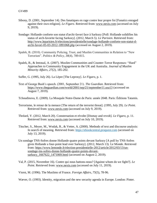- Sibony, D. (2001, September 14). Des fanatiques en rage contre leur propre foi [Fanatics enraged against their own religion]. *Le Figaro*. Retrieved from: [www.nexis.com](http://www.nexis.com/) (accessed on July 9, 2019).
- Sondage: Hollande conforte son statut d'archi-favori face à Sarkozy [Poll: Hollande solidifies his status of arch-favorite facing Sarkozy]. (2012, March 5). *Le Parisien*. Retrieved from: [http://www.leparisien.fr/elections/presidentielle/sondage-hollande-conforte-son-statut-d](http://www.leparisien.fr/elections/presidentielle/sondage-hollande-conforte-son-statut-d-archi-favori-05-03-2012-1891068.php)[archi-favori-05-03-2012-1891068.php](http://www.leparisien.fr/elections/presidentielle/sondage-hollande-conforte-son-statut-d-archi-favori-05-03-2012-1891068.php) (accessed on August 2, 2019).
- Spalek, B. (2010). Community Policing, Trust, and Muslim Communities in Relation to "New Terrorism". *Politics & Policy, 38*(4), 789-815.
- Spalek, B., & Imtoual, A. (2007). Muslim Communities and Counter-Terror Responses: "Hard" Approaches to Community Engagement in the UK and Australia. *Journal of Muslim Minority Affairs, 27*(2), 185-202.
- Suffer, G. (1995, July 26). La Lèpre [The Leprosy]. *Le Figaro*, p. 1.
- Text of George Bush's speech. (2001, September 21). *The Guardian*. Retrieved from: <https://www.theguardian.com/world/2001/sep/21/september11.usa13> (accessed on August 7, 2019).

Tchoudinova, E. (2009). La Mosquée Notre-Dame de Paris: année 2048. Paris: Éditions Tatamis.

- Terrorisme, le retour de la menace [The return of the terrorist threat]. (1995, July 29). *Le Point*. Retrieved from: [www.nexis.com](http://www.nexis.com/) (accessed on July 9, 2019).
- Thréard, Y. (2012, March 20). Consternation et révolte [Dismay and revolt]. *Le Figaro*, p. 11. Retrieved from: [www.nexis.com](http://www.nexis.com/) (accessed on July 10, 2019).
- Titscher, S., Meyer, M., Wodak, R., & Vetter, A. (2000). Methods of text and discourse analysis: In search of meaning. Retrieved from: [https://ebookcentral.proquest.com](https://ebookcentral.proquest.com/) (accessed on July 13, 2019).
- Un sondage TNS-Sofres donne Hollande quatre points devant Sarkozy [A poll by TNS-Sofres gives Hollande a four-point lead over Sarkozy]. (2012, March 13). Le Monde. Retrieved from: [https://www.lemonde.fr/election-presidentielle-2012/article/2012/03/13/un](https://www.lemonde.fr/election-presidentielle-2012/article/2012/03/13/un-sondage-tns-sofres-donne-hollande-quatre-points-devant-sarkozy_1667622_1471069.html)[sondage-tns-sofres-donne-hollande-quatre-points-devant](https://www.lemonde.fr/election-presidentielle-2012/article/2012/03/13/un-sondage-tns-sofres-donne-hollande-quatre-points-devant-sarkozy_1667622_1471069.html)[sarkozy\\_1667622\\_1471069.html](https://www.lemonde.fr/election-presidentielle-2012/article/2012/03/13/un-sondage-tns-sofres-donne-hollande-quatre-points-devant-sarkozy_1667622_1471069.html) (accessed on August 2, 2019).
- Val, P. (2015, November 16). Contre qui nous battons-nous? [Against whom do we fight?]. *Le Point*. Retrieved from: [www.nexis.com](http://www.nexis.com/) (accessed on July 11, 2019).
- Viorst, M. (1996). The Muslims of France. *Foreign Affairs, 75*(5), 78-96.

Wæver, O. (1993). Identity, migration and the new security agenda in Europe. London: Pinter.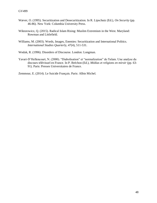- Wæver, O. (1995). Securitization and Desecuritization. In R. Lipschutz (Ed.), *On Security* (pp. 46-86). New York: Columbia University Press.
- Wiktorowicz, Q. (2015). Radical Islam Rising: Muslim Extremism in the West. Maryland: Rowman and Littlefield.
- Williams, M. (2003). Words, Images, Enemies: Securitization and International Politics. *International Studies Quarterly, 47*(4), 511-531.
- Wodak, R. (1996). Disorders of Discourse. London: Longman.
- Yavari-D'Hellencourt, N. (2000). "Diabolisation" et "normalization" de l'islam. Une analyse du discours télévisuel en France. In P. Bréchon (Ed.), *Médias et religions en miroir* (pp. 63- 91). Paris: Presses Universitaires de France.

Zemmour, E. (2014). Le Suicide Français. Paris: Albin Michel.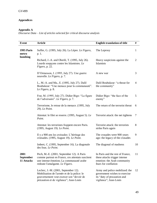# <span id="page-49-0"></span>**Appendices**

# **Appendix A**

*Discourse Data – List of articles selected for critical discourse analysis*

| <b>Event</b>                    | <b>Article</b>                                                                                                                                                              | <b>English translation of title</b>                                                                                      | $\#$           |
|---------------------------------|-----------------------------------------------------------------------------------------------------------------------------------------------------------------------------|--------------------------------------------------------------------------------------------------------------------------|----------------|
| 1995 Paris<br>metro             | Suffer, G. (1995, July 26). La Lèpre. Le Figaro,<br>p. 1.                                                                                                                   | The Leprosy                                                                                                              | 1              |
| bombing                         | Richard, J.-A. and Oberlé, T. (1995, July 26).<br>Lourds soupçons contre les Islamistes. Le<br>Figaro, p. 22.                                                               | Heavy suspicions against the<br>Islamists                                                                                | $\overline{2}$ |
|                                 | D'Ormesson, J. (1995, July 27). Une guerre<br>nouvelle. Le Figaro, p. 7.                                                                                                    | A new war                                                                                                                | 3              |
|                                 | L., M.-A. and Ma., E. (1995, July 27). Dalil<br>Boubakeur: "Une menace pour la communauté".<br>Le Figaro, p. 8.                                                             | Dalil Boubakeur: "a threat for<br>the community"                                                                         | $\overline{4}$ |
|                                 | Frat, M. (1995, July 27). Didier Bigo: "La figure<br>de l'adversaire". Le Figaro, p. 7.                                                                                     | Didier Bigo: "the face of the<br>enemy"                                                                                  | 5              |
|                                 | Terrorisme, le retour de la menace. (1995, July<br>29). Le Point.                                                                                                           | The return of the terrorist threat                                                                                       | 6              |
|                                 | Attentat: le filet se reserre. (1995, August 5). Le<br>Point.                                                                                                               | Terrorist attack: the net tightens                                                                                       | 7              |
|                                 | Attentat: les terroristes frappent encore Paris.<br>(1995, August 19). Le Point.                                                                                            | Terrorist attack: the terrorists<br>strike Paris again                                                                   | 8              |
|                                 | Il y a 900 ans les croisades: L'héritage des<br>croisades. (1995, August 19). Le Point.                                                                                     | The crusades were 900 years<br>ago: the legacy of the crusades                                                           | 9              |
|                                 | Imbert, C. (1995, September 16). La diagonale<br>des fous. Le Point.                                                                                                        | The diagonal of madness                                                                                                  | 10             |
| 2001<br>September<br>11 Attacks | Pech, M.-E. (2001, September 12). A Paris<br>comme partout en France, ces attentats suscitent<br>une intense émotion; La communauté arabe<br>redoute l'amalgame. Le Figaro. | In Paris and the rest of France,<br>these attacks trigger intense<br>emotion: the Arab community<br>fears for conflation | 11             |
|                                 | Leclerc, J.-M. (2001, September 12).<br>Mobilisation de l'armée et de la police: le<br>gouvernement veut exercer son "devoir de<br>précaution et de vigilance"; Jean-Louis  | Army and police mobilized: the<br>government wishes to exercise<br>its "duty of precaution and<br>vigilance"; Jean-Louis | 12             |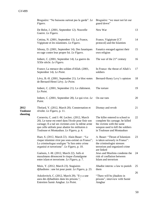|                         | Bruguière: "Ne baissons surtout pas la garde". Le<br>Figaro.                                                                                                                                                                                           | Bruguière: "we must not let our<br>guard down"                                                                                                                   |    |
|-------------------------|--------------------------------------------------------------------------------------------------------------------------------------------------------------------------------------------------------------------------------------------------------|------------------------------------------------------------------------------------------------------------------------------------------------------------------|----|
|                         | De Belot, J. (2001, September 12). Nouvelle<br>Guerre. Le Figaro.                                                                                                                                                                                      | New War                                                                                                                                                          | 13 |
|                         | Cettina, N. (2001, September 13). La France,<br>Vigipirate et les islamistes. Le Figaro.                                                                                                                                                               | France, Vigipirate [CT<br>protocol] and the Islamists                                                                                                            | 14 |
|                         | Sibony, D. (2001, September 14). Des fanatiques<br>en rage contre leur propre foi. Le Figaro.                                                                                                                                                          | Fanatics enraged against their<br>own religion                                                                                                                   | 15 |
|                         | Imbert, C. (2001, September 14). La guerre du<br>XXIe siècle. Le Figaro.                                                                                                                                                                               | The war of the $21st$ century                                                                                                                                    | 16 |
|                         | France; La menace des soldats d'Allah. (2001,<br>September 14). Le Point.                                                                                                                                                                              | In France: the threat of Allah's<br>soldiers                                                                                                                     | 17 |
|                         | Lévy, B.-H. (2001, September 21). Le bloc-notes<br>de Bernard-Henri Lévy. Le Point.                                                                                                                                                                    | Bernard-Henry Levy's opinion                                                                                                                                     | 18 |
|                         | Imbert, C. (2001, September 21). Le châtiment.<br>Le Point.                                                                                                                                                                                            | The torture                                                                                                                                                      | 19 |
|                         | Imbert, C. (2001, September 28). Le qui-vive. Le<br>Point.                                                                                                                                                                                             | On our toes                                                                                                                                                      | 20 |
| 2012<br><b>Toulouse</b> | Thréard, Y. (2012, March 20). Consternation et<br>révolte. Le Figaro, p. 11.                                                                                                                                                                           | Dismay and revolt                                                                                                                                                | 21 |
| shooting                | Cornevin, C. and J.-M. Leclerc. (2012, March<br>20). Le tueur est entré dans l'école pour finir son<br>carnage; Il a tué ses victimes avec la même arme<br>que celle utilisée pour abattre les militaires à<br>Toulouse et Montauban. Le Figaro, p. 4. | The killer entered to school to<br>complete his carnage; he killed<br>his victims with the same<br>weapon used to kill the soldiers<br>in Toulouse and Montauban | 22 |
|                         | Huet, S. (2012, March 22). Alain Bauer: "Le<br>risque islamiste n'est pas sous-estimé en France";<br>Le criminologue souligne "le lien entre crime<br>organisé et terrorisme". Le Figaro, p. 10.                                                       | A. Bauer: "Threat of Islamism<br>is taken seriously in France":<br>the criminologist stresses<br>terrorism and organized crime<br>are linked                     | 23 |
|                         | Guénois, J.-M. (2012, March 22). Juifs et<br>musulmans dénoncent le risque d'amalgame<br>entre islam et terrorisme. Le Figaro, p. 7.                                                                                                                   | Jews and Muslims condemn the<br>risk of conflation between<br>Islam and terrorism                                                                                | 24 |
|                         | Moix, Y. (2012, March 23). Stagiaires<br>djihadistes : une loi pour punir. Le Figaro, p. 23.                                                                                                                                                           | Jihadist interns: a law to punish<br>them                                                                                                                        | 25 |
|                         | Askolovitch, C. (2012, March 29). "Il y a une<br>aura des djihadistes dans les prisons.";<br>Entretien Samir Amghar. Le Point.                                                                                                                         | "There will be jihadists in<br>prisons", interview with Samir<br>Amghar                                                                                          | 26 |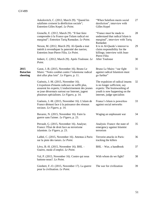|                                     | Askolovitch, C. (2012, March 29). "Quand les<br>salafistes croisent la déréliction sociale";<br>Entretien Gilles Kepel. Le Point.                                                                                                       | "When Salafism meets social<br>dereliction", interview with<br>Gilles Kepel                                                                                    | 27 |
|-------------------------------------|-----------------------------------------------------------------------------------------------------------------------------------------------------------------------------------------------------------------------------------------|----------------------------------------------------------------------------------------------------------------------------------------------------------------|----|
|                                     | Grenelle, E. (2012, March 29). "Il faut faire<br>comprendre à la France que l'islam radical est<br>marginal"; Entretien Tariq Ramadan. Le Point.                                                                                        | "France must be made to<br>understand that radical Islam is<br>marginal", interview with Tariq<br>Ramadan                                                      | 28 |
|                                     | Nexon, M. (2012, March 29). Al-Qaeda a tout<br>intérêt à revendiquer la paternité des tueries;<br>Entretien Jean-Pierre Filiu. Le Point.                                                                                                | It is in Al-Qaeda's interest to<br>claim responsibility for the<br>killings; interview with Jean-<br>Pierre Filiu                                              | 29 |
|                                     | Imbert, C. (2012, March 29). Après Toulouse. Le<br>Point.                                                                                                                                                                               | <b>After Toulouse</b>                                                                                                                                          | 30 |
| 2015<br><b>Bataclan</b><br>shooting | Garat, J.-B. (2015, November 16). Bruno Le<br>Maire: "Notre combat contre l'islamisme radical<br>doit aller plus loin". Le Figaro, p. 11.                                                                                               | Bruno Le Maire: "our fight<br>against radical Islamism must<br>go further"                                                                                     | 31 |
|                                     | Guénois, J.-M. (2015, November 16).<br>L'expulsion d'imams radicaux ne suffit plus,<br>assurent les experts; L'endoctrinement des jeunes<br>se joue désormais surtout sur Internet, jugent<br>plusieurs spécialistes. Le Figaro, p. 14. | The expulsion of radical imams<br>is no longer sufficient, say<br>experts: The brainwashing of<br>youth is now happening on the<br>internet, judge specialists | 32 |
|                                     | Guénois, J.-M. (2015, November 16). L'islam de<br>France démuni face à la puissance des réseaux<br>sociaux. Le Figaro, p. 14.                                                                                                           | France's Islam is powerless<br>against social networks                                                                                                         | 33 |
|                                     | Bavarez, N. (2015, November 16). Faire la<br>guerre sans l'aimer. Le Figaro, p. 23.                                                                                                                                                     | Waging an unpleasant war                                                                                                                                       | 34 |
|                                     | Perrault, G. (2015, November 16). Analyse;<br>France: l'État de droit face au terrorisme<br>islamiste. Le Figaro, p. 23.                                                                                                                | Analysis: France: the state of<br>emergency against Islamist<br>terrorism                                                                                      | 35 |
|                                     | Labbé, C. (2015, November 16). Attentas à Paris:<br>sur la piste des tueurs. Le Point.                                                                                                                                                  | Terrorist attacks in Paris:<br>tracking the killers                                                                                                            | 36 |
|                                     | Lévy, B.-H. (2015, November 16). BHL -<br>Guerre, mode d'emploi. Le Point.                                                                                                                                                              | BHL - War, a handbook                                                                                                                                          | 37 |
|                                     | Val, P. (2015, November 16). Contre qui nous<br>battons-nous?. Le Point.                                                                                                                                                                | With whom do we fight?                                                                                                                                         | 38 |
|                                     | Giesbert, F.-O. (2015, November 17). La guerre<br>pour la civilisation. Le Point.                                                                                                                                                       | The war for civilization                                                                                                                                       | 39 |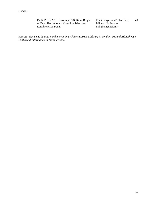Paoli, P.-F. (2015, November 18). Rémi Brague et Tahar Ben Jelloun : Y a-t-il un islam des Lumières?. Le Point.

Rémi Brague and Tahar Ben Jelloun: "Is there an Enlightened Islam?" 40

*Sources: Nexis UK database and microfilm archives at British Library in London, UK and Bibliothèque Publique d'Information in Paris, France.*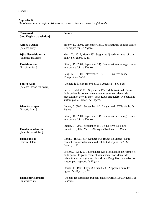#### **Appendix B**

*List of terms used to refer to Islamist terrorism or Islamist terrorists (20 total)*

| <b>Term used</b><br>[and English translation]       | <b>Source</b>                                                                                                                                                                                                                          |
|-----------------------------------------------------|----------------------------------------------------------------------------------------------------------------------------------------------------------------------------------------------------------------------------------------|
| Armée d'Allah<br>[Allah's army]                     | Sibony, D. (2001, September 14). Des fanatiques en rage contre<br>leur propre foi. Le Figaro.                                                                                                                                          |
| Djihadisme islamiste<br>[Islamist jihadism]         | Moix, Y. (2012, March 23). Stagiaires djihadistes: une loi pour<br>punir. Le Figaro, p. 23.                                                                                                                                            |
| Fascislamisme<br>[Fascislamism]                     | Sibony, D. (2001, September 14). Des fanatiques en rage contre<br>leur propre foi. Le Figaro.                                                                                                                                          |
|                                                     | Lévy, B.-H. (2015, November 16). BHL – Guerre, mode<br>d'emploi. Le Point.                                                                                                                                                             |
| Fous d'Allah                                        | Attentat: le filet se reserre. (1995, August 5). Le Point.                                                                                                                                                                             |
| [Allah's insane followers]                          | Leclerc, J.-M. (2001, September 12). "Mobilisation de l'armée et<br>de la police: le gouvernement veut exercer son 'devoir de<br>précaution et de vigilance'; Jean-Louis Bruguière: 'Ne baissons<br>surtout pas la garde"'. Le Figaro. |
| <b>Islam</b> fanatique<br>[Fanatic Islam]           | Imbert, C. (2001, September 14). La guerre du XXIe siècle. Le<br>Figaro.                                                                                                                                                               |
|                                                     | Sibony, D. (2001, September 14). Des fanatiques en rage contre<br>leur propre foi. Le Figaro.                                                                                                                                          |
| <b>Fanatisme</b> islamiste<br>[Islamist fanaticism] | Imbert, C. (2001, September 28). Le qui-vive. Le Point<br>Imbert, C. (2012, March 29). Après Toulouse. Le Point.                                                                                                                       |
| <b>Islam</b> radical<br>[Radical Islam]             | Garat, J.-B. (2015, November 16). Bruno Le Maire: "Notre<br>combat contre l'islamisme radical doit aller plus loin". Le<br><i>Figaro</i> , p. 11.                                                                                      |
|                                                     | Leclerc, J.-M. (2001, September 12). Mobilisation de l'armée et<br>de la police: le gouvernement veut exercer son 'devoir de<br>précaution et de vigilance'; Jean-Louis Bruguière: 'Ne baissons<br>surtout pas la garde'. Le Figaro.   |
|                                                     | Oberlé, T. (1995, July 29). Quand le GIA apparaît entre les<br>lignes. Le Figaro, p. 26                                                                                                                                                |
| <b>Islamisme/islamistes</b><br>[Islamism/ists]      | Attentat: les terroristes frappent encore Paris. (1995, August 19).<br>Le Point.                                                                                                                                                       |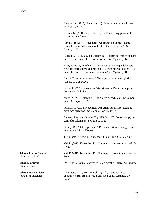Bavarez, N. (2015, November 16). Faire la guerre sans l'aimer. *Le Figaro*, p. 23.

Cettina, N. (2001, September 13). La France, Vigipirate et les islamistes. *Le Figaro*.

Garat, J.-B. (2015, November 16). Bruno Le Maire: "Notre combat contre l'islamisme radical doit aller plus loin". *Le Figaro*, p. 11.

Guénois, J.-M. (2015, November 16). L'islam de France démuni face à la puissance des réseaux sociaux. *Le Figaro*, p. 14.

Huet, S. (2012, March 22). Alain Bauer : "Le risque islamiste n'est pas sous-estimé en France"; Le criminologue souligne "le lien entre crime organisé et terrorisme". *Le Figaro*, p. 10.

Il y a 900 ans les croisades: L'héritage des croisades. (1995, August 19). *Le Point*.

Labbé, C. (2015, November 16). Attentas à Paris: sur la piste des tueurs. *Le Point*.

Moix, Y. (2012, March 23). Stagiaires djihadistes : une loi pour punir. *Le Figaro*, p. 23.

Perrault, G. (2015, November 16). Analyse; France: l'État de droit face au terrorisme islamiste. *Le Figaro*, p. 23.

Richard, J.-A. and Oberlé, T. (1995, July 26). Lourds soupçons contre les Islamistes. *Le Figaro*, p. 22

Sibony, D. (2001, September 14). Des fanatiques en rage contre leur propre foi. *Le Figaro*.

Terrorisme le retour de la menace. (1995, July 29). *Le Point*.

Val, P. (2015, November 16). Contre qui nous battons-nous?. *Le Point*.

Val, P. (2015, November 16). Contre qui nous battons-nous?. *Le Point*.

De Belot, J. (2001, September 12). Nouvelle Guerre. *Le Figaro*.

Askolovitch, C. (2012, March 29). "Il y a une aura des djihadistes dans les prisons."; Entretien Samir Amghar. *Le Point*.

**Islamo-fascime/fascists** [Islamo-fascism/ists]

**Jihad Islamique** [Islamic jihad]

**Jihadisme/islamistes** [Jihadism/jihadists]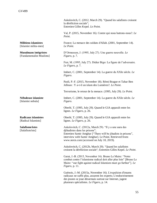Askolovitch, C. (2012, March 29). "Quand les salafistes croisent la déréliction sociale"; Entretien Gilles Kepel. *Le Point*.

Val, P. (2015, November 16). Contre qui nous battons-nous?. *Le Point*.

France; La menace des soldats d'Allah. (2001, September 14). *Le Point*.

D'Ormesson, J. (1995, July 27). Une guerre nouvelle. *Le Figaro*, p. 7.

Frat, M. (1995, July 27). Didier Bigo: La figure de l'adversaire. *Le Figaro*, p. 7.

Imbert, C. (2001, September 14). La guerre du XXIe siècle. *Le Figaro*.

Paoli, P.-F. (2015, November 18). Rémi Brague et Tahar Ben Jelloun : Y a-t-il un islam des Lumières?. *Le Point*.

Terrorisme, le retour de la menace. (1995, July 29). *Le Point.*

Imbert, C. (2001, September 14). La guerre du XXIe siècle. *Le Figaro*.

Oberlé, T. (1995, July 29). Quand le GIA apparaît entre les lignes. *Le Figaro*, p. 26.

Oberlé, T. (1995, July 29). Quand le GIA apparaît entre les lignes. *Le Figaro*, p. 26.

Askolovitch, C. (2012a, March 29). "Il y a une aura des djihadistes dans les prisons"; Entretien Samir Amghar ["There will be jihadists in prisons", interview with Samir Amghar]. Le Point. Retrieved from: www.nexis.com (accessed on July 10, 2019).

Askolovitch, C. (2012b, March 29). "Quand les salafistes croisent la déréliction sociale"; Entretien Gilles Kepel. *Le Point*.

Garat, J.-B. (2015, November 16). Bruno Le Maire: "Notre combat contre l'islamisme radical doit aller plus loin" [Bruno Le Maire: "our fight against radical Islamism must go further"]. *Le Figaro*, p. 11.

Guénois, J.-M. (2015a, November 16). L'expulsion d'imams radicaux ne suffit plus, assurent les experts; L'endoctrinement des jeunes se joue désormais surtout sur Internet, jugent plusieurs spécialistes. *Le Figaro*, p. 14.

**Militiens islamistes** [Islamist milita-men]

#### **Musulmans intégristes** [Fundamentalist Muslims]

**Nébuleuse islamiste** [Islamist nebula]

**Radicaux islamistes**

[Radical Islamists]

**Salafisme/istes** [Salafism/ists]